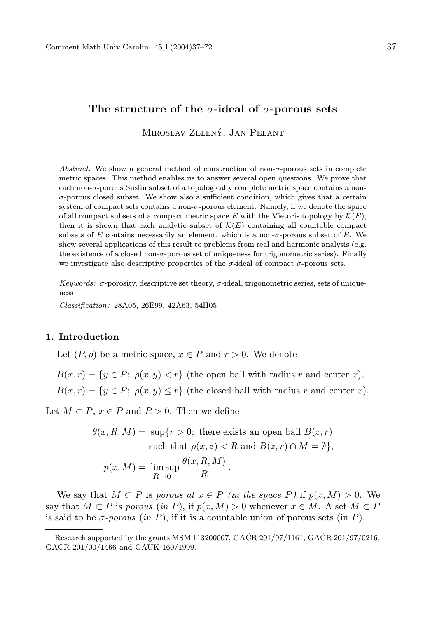# The structure of the  $\sigma$ -ideal of  $\sigma$ -porous sets

MIROSLAV ZELENÝ, JAN PELANT

Abstract. We show a general method of construction of non- $\sigma$ -porous sets in complete metric spaces. This method enables us to answer several open questions. We prove that each non-σ-porous Suslin subset of a topologically complete metric space contains a non- $\sigma$ -porous closed subset. We show also a sufficient condition, which gives that a certain system of compact sets contains a non-σ-porous element. Namely, if we denote the space of all compact subsets of a compact metric space E with the Vietoris topology by  $\mathcal{K}(E)$ , then it is shown that each analytic subset of  $\mathcal{K}(E)$  containing all countable compact subsets of E contains necessarily an element, which is a non- $\sigma$ -porous subset of E. We show several applications of this result to problems from real and harmonic analysis (e.g. the existence of a closed non- $\sigma$ -porous set of uniqueness for trigonometric series). Finally we investigate also descriptive properties of the  $\sigma$ -ideal of compact  $\sigma$ -porous sets.

Keywords:  $\sigma$ -porosity, descriptive set theory,  $\sigma$ -ideal, trigonometric series, sets of uniqueness

Classification: 28A05, 26E99, 42A63, 54H05

## 1. Introduction

Let  $(P, \rho)$  be a metric space,  $x \in P$  and  $r > 0$ . We denote

 $B(x, r) = \{y \in P; \rho(x, y) < r\}$  (the open ball with radius r and center x),  $\overline{B}(x,r) = \{y \in P; \ \rho(x,y) \leq r\}$  (the closed ball with radius r and center x).

Let  $M \subset P$ ,  $x \in P$  and  $R > 0$ . Then we define

$$
\theta(x, R, M) = \sup\{r > 0; \text{ there exists an open ball } B(z, r) \text{ such that } \rho(x, z) < R \text{ and } B(z, r) \cap M = \emptyset\},\
$$
\n
$$
p(x, M) = \limsup_{R \to 0+} \frac{\theta(x, R, M)}{R}.
$$

We say that  $M \subset P$  is porous at  $x \in P$  (in the space P) if  $p(x, M) > 0$ . We say that  $M \subset P$  is porous (in P), if  $p(x, M) > 0$  whenever  $x \in M$ . A set  $M \subset P$ is said to be  $\sigma$ -porous (in P), if it is a countable union of porous sets (in P).

Research supported by the grants MSM 113200007,  $G\angle ACR$  201/97/1161,  $G\angle ACR$  201/97/0216,  $GACR$  201/00/1466 and  $GAUK$  160/1999.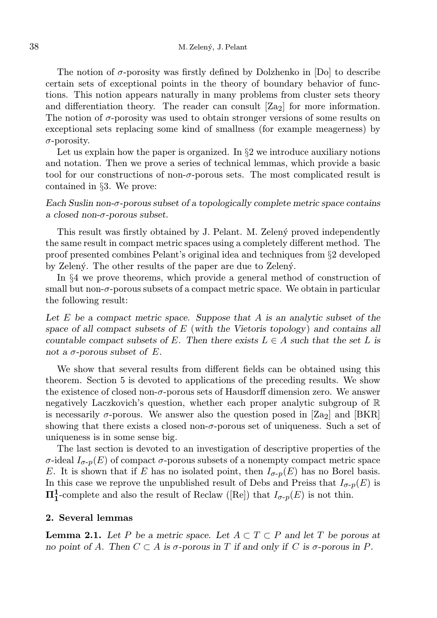The notion of  $\sigma$ -porosity was firstly defined by Dolzhenko in [Do] to describe certain sets of exceptional points in the theory of boundary behavior of functions. This notion appears naturally in many problems from cluster sets theory and differentiation theory. The reader can consult  $[Z_{22}]$  for more information. The notion of σ-porosity was used to obtain stronger versions of some results on exceptional sets replacing some kind of smallness (for example meagerness) by σ-porosity.

Let us explain how the paper is organized. In  $\S2$  we introduce auxiliary notions and notation. Then we prove a series of technical lemmas, which provide a basic tool for our constructions of non- $\sigma$ -porous sets. The most complicated result is contained in §3. We prove:

Each Suslin non- $\sigma$ -porous subset of a topologically complete metric space contains a closed non-σ-porous subset.

This result was firstly obtained by J. Pelant. M. Zelený proved independently the same result in compact metric spaces using a completely different method. The proof presented combines Pelant's original idea and techniques from §2 developed by Zelený. The other results of the paper are due to Zelený.

In §4 we prove theorems, which provide a general method of construction of small but non-σ-porous subsets of a compact metric space. We obtain in particular the following result:

Let  $E$  be a compact metric space. Suppose that  $A$  is an analytic subset of the space of all compact subsets of  $E$  (with the Vietoris topology) and contains all countable compact subsets of E. Then there exists  $L \in A$  such that the set L is not a  $\sigma$ -porous subset of E.

We show that several results from different fields can be obtained using this theorem. Section 5 is devoted to applications of the preceding results. We show the existence of closed non- $\sigma$ -porous sets of Hausdorff dimension zero. We answer negatively Laczkovich's question, whether each proper analytic subgroup of R is necessarily  $\sigma$ -porous. We answer also the question posed in [Za<sub>2</sub>] and [BKR] showing that there exists a closed non- $\sigma$ -porous set of uniqueness. Such a set of uniqueness is in some sense big.

The last section is devoted to an investigation of descriptive properties of the σ-ideal  $I_{\sigma-p}(E)$  of compact σ-porous subsets of a nonempty compact metric space E. It is shown that if E has no isolated point, then  $I_{\sigma\neg p}(E)$  has no Borel basis. In this case we reprove the unpublished result of Debs and Preiss that  $I_{\sigma-p}(E)$  is  $\Pi_1^1$ -complete and also the result of Reclaw ([Re]) that  $I_{\sigma-p}(E)$  is not thin.

## 2. Several lemmas

**Lemma 2.1.** Let P be a metric space. Let  $A \subset T \subset P$  and let T be porous at no point of A. Then  $C \subset A$  is  $\sigma$ -porous in T if and only if C is  $\sigma$ -porous in P.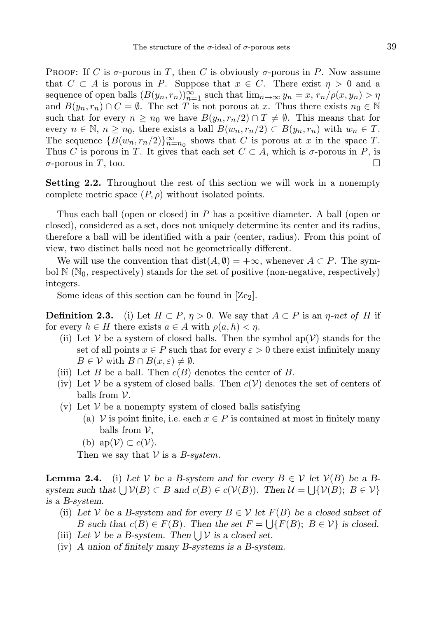PROOF: If C is  $\sigma$ -porous in T, then C is obviously  $\sigma$ -porous in P. Now assume that  $C \subset A$  is porous in P. Suppose that  $x \in C$ . There exist  $\eta > 0$  and a sequence of open balls  $(B(y_n, r_n))_{n=1}^{\infty}$  such that  $\lim_{n\to\infty} y_n = x, r_n/\rho(x, y_n) > \eta$ and  $B(y_n, r_n) \cap C = \emptyset$ . The set T is not porous at x. Thus there exists  $n_0 \in \mathbb{N}$ such that for every  $n \geq n_0$  we have  $B(y_n, r_n/2) \cap T \neq \emptyset$ . This means that for every  $n \in \mathbb{N}, n \geq n_0$ , there exists a ball  $B(w_n, r_n/2) \subset B(y_n, r_n)$  with  $w_n \in T$ . The sequence  ${B(w_n, r_n/2)}_{n=n_0}^{\infty}$  shows that C is porous at x in the space T. Thus C is porous in T. It gives that each set  $C \subset A$ , which is  $\sigma$ -porous in P, is  $\sigma$ -porous in T, too.

Setting 2.2. Throughout the rest of this section we will work in a nonempty complete metric space  $(P, \rho)$  without isolated points.

Thus each ball (open or closed) in P has a positive diameter. A ball (open or closed), considered as a set, does not uniquely determine its center and its radius, therefore a ball will be identified with a pair (center, radius). From this point of view, two distinct balls need not be geometrically different.

We will use the convention that  $dist(A, \emptyset) = +\infty$ , whenever  $A \subset P$ . The symbol  $\mathbb{N}$  ( $\mathbb{N}_0$ , respectively) stands for the set of positive (non-negative, respectively) integers.

Some ideas of this section can be found in  $\text{Ze}_2$ .

**Definition 2.3.** (i) Let  $H \subset P$ ,  $\eta > 0$ . We say that  $A \subset P$  is an  $\eta$ -net of H if for every  $h \in H$  there exists  $a \in A$  with  $\rho(a, h) < \eta$ .

- (ii) Let V be a system of closed balls. Then the symbol  $ap(V)$  stands for the set of all points  $x \in P$  such that for every  $\varepsilon > 0$  there exist infinitely many  $B \in \mathcal{V}$  with  $B \cap B(x, \varepsilon) \neq \emptyset$ .
- (iii) Let B be a ball. Then  $c(B)$  denotes the center of B.
- (iv) Let V be a system of closed balls. Then  $c(V)$  denotes the set of centers of balls from  $\mathcal V$ .
- (v) Let  $V$  be a nonempty system of closed balls satisfying
	- (a) V is point finite, i.e. each  $x \in P$  is contained at most in finitely many balls from  $\mathcal V$ ,
	- (b)  $ap(\mathcal{V}) \subset c(\mathcal{V})$ .

Then we say that  $V$  is a *B-system*.

**Lemma 2.4.** (i) Let V be a B-system and for every  $B \in V$  let  $V(B)$  be a Bsystem such that  $\bigcup \mathcal{V}(B) \subset B$  and  $c(B) \in c(\mathcal{V}(B))$ . Then  $\mathcal{U} = \bigcup \{\mathcal{V}(B); B \in \mathcal{V}\}\$ is a B-system.

- (ii) Let V be a B-system and for every  $B \in V$  let  $F(B)$  be a closed subset of B such that  $c(B) \in F(B)$ . Then the set  $F = \bigcup \{F(B); B \in V\}$  is closed.
- (iii) Let  $V$  be a B-system. Then  $\bigcup V$  is a closed set.
- (iv) A union of finitely many B-systems is a B-system.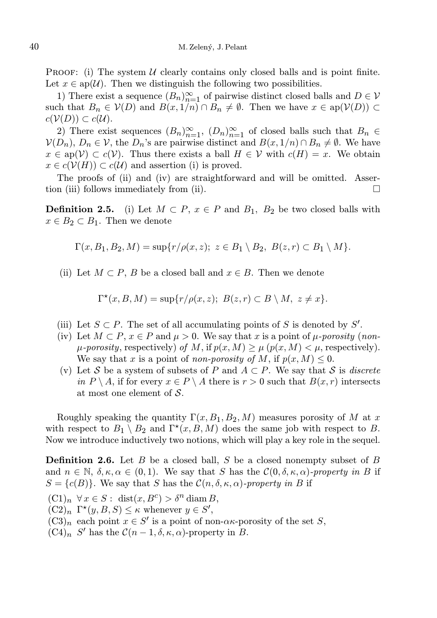**PROOF:** (i) The system  $U$  clearly contains only closed balls and is point finite. Let  $x \in \text{an}(\mathcal{U})$ . Then we distinguish the following two possibilities.

1) There exist a sequence  $(B_n)_{n=1}^{\infty}$  of pairwise distinct closed balls and  $D \in V$ such that  $B_n \in V(D)$  and  $B(x, 1/n) \cap B_n \neq \emptyset$ . Then we have  $x \in ap(V(D)) \subset$  $c(V(D)) \subset c(U)$ .

2) There exist sequences  $(B_n)_{n=1}^{\infty}$ ,  $(D_n)_{n=1}^{\infty}$  of closed balls such that  $B_n \in$  $V(D_n)$ ,  $D_n \in V$ , the  $D_n$ 's are pairwise distinct and  $B(x, 1/n) \cap B_n \neq \emptyset$ . We have  $x \in ap(V) \subset c(V)$ . Thus there exists a ball  $H \in V$  with  $c(H) = x$ . We obtain  $x \in c(V(H)) \subset c(U)$  and assertion (i) is proved.

The proofs of (ii) and (iv) are straightforward and will be omitted. Assertion (iii) follows immediately from (ii).  $\Box$ 

**Definition 2.5.** (i) Let  $M \subset P$ ,  $x \in P$  and  $B_1$ ,  $B_2$  be two closed balls with  $x \in B_2 \subset B_1$ . Then we denote

$$
\Gamma(x, B_1, B_2, M) = \sup\{r/\rho(x, z); \ z \in B_1 \setminus B_2, B(z, r) \subset B_1 \setminus M\}.
$$

(ii) Let  $M \subset P$ , B be a closed ball and  $x \in B$ . Then we denote

$$
\Gamma^{\star}(x, B, M) = \sup\{r/\rho(x, z); B(z, r) \subset B \setminus M, z \neq x\}.
$$

- (iii) Let  $S \subset P$ . The set of all accumulating points of S is denoted by S'.
- (iv) Let  $M \subset P$ ,  $x \in P$  and  $\mu > 0$ . We say that x is a point of  $\mu$ -porosity (non- $\mu$ -porosity, respectively) of M, if  $p(x, M) > \mu$   $(p(x, M) < \mu$ , respectively). We say that x is a point of non-porosity of M, if  $p(x, M) \leq 0$ .
- (v) Let S be a system of subsets of P and  $A \subset P$ . We say that S is *discrete* in  $P \setminus A$ , if for every  $x \in P \setminus A$  there is  $r > 0$  such that  $B(x, r)$  intersects at most one element of S.

Roughly speaking the quantity  $\Gamma(x, B_1, B_2, M)$  measures porosity of M at x with respect to  $B_1 \setminus B_2$  and  $\Gamma^*(x, B, M)$  does the same job with respect to B. Now we introduce inductively two notions, which will play a key role in the sequel.

**Definition 2.6.** Let B be a closed ball, S be a closed nonempty subset of B and  $n \in \mathbb{N}$ ,  $\delta, \kappa, \alpha \in (0, 1)$ . We say that S has the  $\mathcal{C}(0, \delta, \kappa, \alpha)$ -property in B if  $S = \{c(B)\}\.$  We say that S has the  $\mathcal{C}(n, \delta, \kappa, \alpha)$ -property in B if

- $(C1)<sub>n</sub> \forall x \in S: dist(x, B<sup>c</sup>) > \delta<sup>n</sup> diam B,$
- $(C2)_n \Gamma^*(y, B, S) \leq \kappa$  whenever  $y \in S'$ ,
- $(C3)<sub>n</sub>$  each point  $x \in S'$  is a point of non- $\alpha \kappa$ -porosity of the set S,
- $(C4)_n$  S' has the  $C(n-1,\delta,\kappa,\alpha)$ -property in B.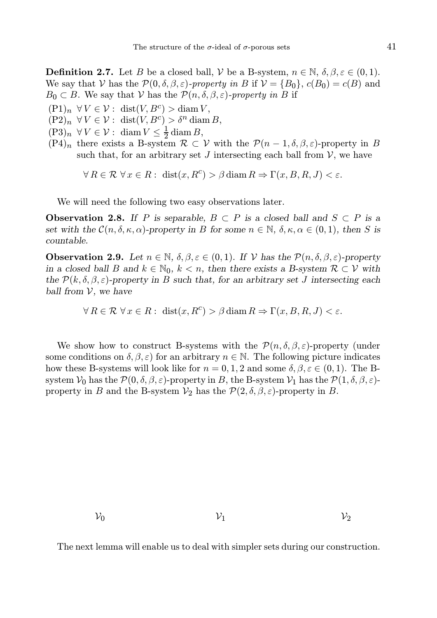**Definition 2.7.** Let B be a closed ball, V be a B-system,  $n \in \mathbb{N}$ ,  $\delta, \beta, \varepsilon \in (0, 1)$ . We say that V has the  $\mathcal{P}(0, \delta, \beta, \varepsilon)$ -property in B if  $\mathcal{V} = \{B_0\}$ ,  $c(B_0) = c(B)$  and  $B_0 \subset B$ . We say that V has the  $\mathcal{P}(n, \delta, \beta, \varepsilon)$ -property in B if

- $(P1)_n \forall V \in \mathcal{V} : \text{dist}(V, B^c) > \text{diam } V,$
- $(P2)_n \ \forall V \in \mathcal{V} : \operatorname{dist}(V, B^c) > \delta^n \operatorname{diam} B,$
- $(P3)_n \ \forall V \in \mathcal{V} : \ \text{diam } V \leq \frac{1}{2} \, \text{diam } B,$
- $(P4)_n$  there exists a B-system  $\mathcal{R} \subset \mathcal{V}$  with the  $\mathcal{P}(n-1,\delta,\beta,\varepsilon)$ -property in B such that, for an arbitrary set J intersecting each ball from  $\mathcal V$ , we have

 $\forall R \in \mathcal{R} \ \forall x \in R : \ \text{dist}(x, R^c) > \beta \, \text{diam}\, R \Rightarrow \Gamma(x, B, R, J) < \varepsilon.$ 

We will need the following two easy observations later.

**Observation 2.8.** If P is separable,  $B \subset P$  is a closed ball and  $S \subset P$  is a set with the  $\mathcal{C}(n, \delta, \kappa, \alpha)$ -property in B for some  $n \in \mathbb{N}$ ,  $\delta, \kappa, \alpha \in (0, 1)$ , then S is countable.

**Observation 2.9.** Let  $n \in \mathbb{N}$ ,  $\delta, \beta, \varepsilon \in (0, 1)$ . If  $\mathcal V$  has the  $\mathcal P(n, \delta, \beta, \varepsilon)$ -property in a closed ball B and  $k \in \mathbb{N}_0$ ,  $k < n$ , then there exists a B-system  $\mathcal{R} \subset \mathcal{V}$  with the  $\mathcal{P}(k, \delta, \beta, \varepsilon)$ -property in B such that, for an arbitrary set J intersecting each ball from  $V$ , we have

 $\forall R \in \mathcal{R} \ \forall x \in R : \ \text{dist}(x, R^c) > \beta \, \text{diam}\, R \Rightarrow \Gamma(x, B, R, J) < \varepsilon.$ 

We show how to construct B-systems with the  $\mathcal{P}(n, \delta, \beta, \varepsilon)$ -property (under some conditions on  $\delta, \beta, \varepsilon$ ) for an arbitrary  $n \in \mathbb{N}$ . The following picture indicates how these B-systems will look like for  $n = 0, 1, 2$  and some  $\delta, \beta, \varepsilon \in (0, 1)$ . The Bsystem  $V_0$  has the  $\mathcal{P}(0, \delta, \beta, \varepsilon)$ -property in B, the B-system  $V_1$  has the  $\mathcal{P}(1, \delta, \beta, \varepsilon)$ property in B and the B-system  $\mathcal{V}_2$  has the  $\mathcal{P}(2,\delta,\beta,\varepsilon)$ -property in B.

 $\mathcal{V}_0$   $\mathcal{V}_1$   $\mathcal{V}_2$ 

The next lemma will enable us to deal with simpler sets during our construction.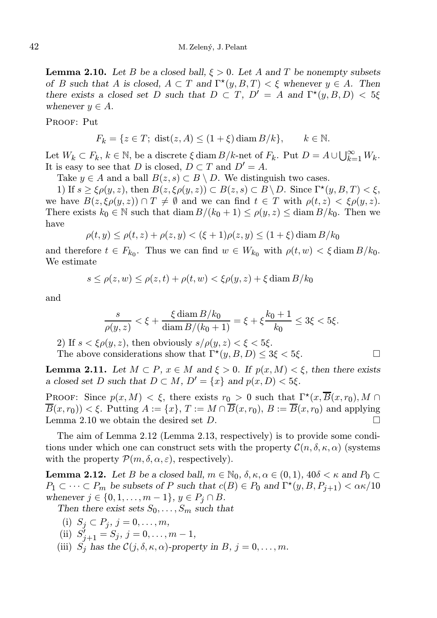**Lemma 2.10.** Let B be a closed ball,  $\xi > 0$ . Let A and T be nonempty subsets of B such that A is closed,  $A \subset T$  and  $\Gamma^*(y, B, T) < \xi$  whenever  $y \in A$ . Then there exists a closed set D such that  $D \subset T$ ,  $D' = A$  and  $\Gamma^*(y, B, D) < 5\xi$ whenever  $y \in A$ .

PROOF: Put

$$
F_k = \{ z \in T; \text{ dist}(z, A) \le (1 + \xi) \text{ diam } B/k \}, \qquad k \in \mathbb{N}.
$$

Let  $W_k \subset F_k$ ,  $k \in \mathbb{N}$ , be a discrete  $\xi$  diam  $B/k$ -net of  $F_k$ . Put  $D = A \cup \bigcup_{k=1}^{\infty} W_k$ . It is easy to see that D is closed,  $D \subset T$  and  $D' = A$ .

Take  $y \in A$  and a ball  $B(z, s) \subset B \setminus D$ . We distinguish two cases.

1) If  $s \geq \xi \rho(y, z)$ , then  $B(z, \xi \rho(y, z)) \subset B(z, s) \subset B \setminus D$ . Since  $\Gamma^*(y, B, T) < \xi$ , we have  $B(z, \xi \rho(y, z)) \cap T \neq \emptyset$  and we can find  $t \in T$  with  $\rho(t, z) < \xi \rho(y, z)$ . There exists  $k_0 \in \mathbb{N}$  such that  $\text{diam } B/(k_0 + 1) \leq \rho(y, z) \leq \text{diam } B/k_0$ . Then we have

$$
\rho(t, y) \le \rho(t, z) + \rho(z, y) < (\xi + 1)\rho(z, y) \le (1 + \xi) \operatorname{diam} B/k_0
$$

and therefore  $t \in F_{k_0}$ . Thus we can find  $w \in W_{k_0}$  with  $\rho(t, w) < \xi \text{ diam } B/k_0$ . We estimate

$$
s \le \rho(z, w) \le \rho(z, t) + \rho(t, w) < \xi \rho(y, z) + \xi \operatorname{diam} B/k_0
$$

and

$$
\frac{s}{\rho(y,z)} < \xi + \frac{\xi \operatorname{diam} B/k_0}{\operatorname{diam} B/(k_0+1)} = \xi + \xi \frac{k_0+1}{k_0} \le 3\xi < 5\xi.
$$

2) If  $s < \xi \rho(y, z)$ , then obviously  $s/\rho(y, z) < \xi < 5\xi$ .

The above considerations show that  $\Gamma^{\star}(y, B, D) \leq 3\xi < 5\xi$ .

**Lemma 2.11.** Let  $M \subset P$ ,  $x \in M$  and  $\xi > 0$ . If  $p(x, M) < \xi$ , then there exists a closed set D such that  $D \subset M$ ,  $D' = \{x\}$  and  $p(x, D) < 5\xi$ .

PROOF: Since  $p(x, M) < \xi$ , there exists  $r_0 > 0$  such that  $\Gamma^*(x, \overline{B}(x,r_0), M \cap$  $\overline{B}(x, r_0)) < \xi$ . Putting  $A := \{x\}, T := M \cap \overline{B}(x, r_0), B := \overline{B}(x, r_0)$  and applying Lemma 2.10 we obtain the desired set D.

The aim of Lemma 2.12 (Lemma 2.13, respectively) is to provide some conditions under which one can construct sets with the property  $\mathcal{C}(n, \delta, \kappa, \alpha)$  (systems with the property  $\mathcal{P}(m,\delta,\alpha,\varepsilon)$ , respectively).

**Lemma 2.12.** Let B be a closed ball,  $m \in \mathbb{N}_0$ ,  $\delta, \kappa, \alpha \in (0, 1)$ ,  $40\delta < \kappa$  and  $P_0 \subset$  $P_1 \subset \cdots \subset P_m$  be subsets of P such that  $c(B) \in P_0$  and  $\Gamma^*(y, B, P_{j+1}) < \alpha \kappa/10$ whenever  $j \in \{0, 1, \ldots, m-1\}, y \in P_j \cap B$ .

Then there exist sets  $S_0, \ldots, S_m$  such that

- (i)  $S_j \subset P_j, j = 0, \ldots, m$ ,
- (ii)  $S'_{j+1} = S_j, j = 0, \ldots, m-1,$
- (iii)  $S_j$  has the  $\mathcal{C}(j, \delta, \kappa, \alpha)$ -property in B,  $j = 0, \ldots, m$ .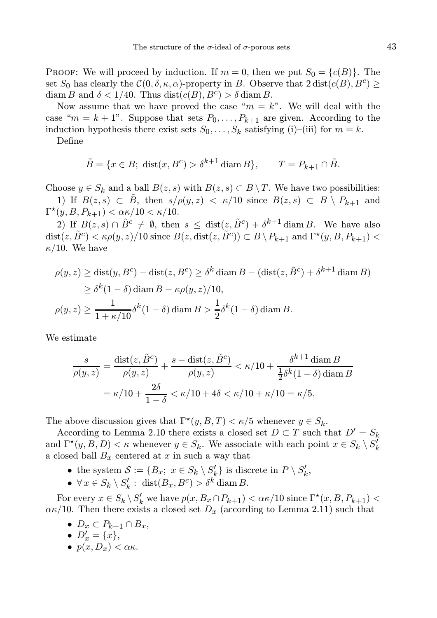PROOF: We will proceed by induction. If  $m = 0$ , then we put  $S_0 = \{c(B)\}\$ . The set  $S_0$  has clearly the  $\mathcal{C}(0, \delta, \kappa, \alpha)$ -property in B. Observe that  $2 \text{ dist}(c(B), B^c) \geq$ diam B and  $\delta < 1/40$ . Thus  $dist(c(B), B^c) > \delta \operatorname{diam} B$ .

Now assume that we have proved the case " $m = k$ ". We will deal with the case " $m = k + 1$ ". Suppose that sets  $P_0, \ldots, P_{k+1}$  are given. According to the induction hypothesis there exist sets  $S_0, \ldots, S_k$  satisfying (i)–(iii) for  $m = k$ .

Define

$$
\tilde{B} = \{x \in B; \text{ dist}(x, B^c) > \delta^{k+1} \text{diam}\, B\}, \qquad T = P_{k+1} \cap \tilde{B}.
$$

Choose  $y \in S_k$  and a ball  $B(z, s)$  with  $B(z, s) \subset B \setminus T$ . We have two possibilities: 1) If  $B(z,s) \subset \tilde{B}$ , then  $s/\rho(y,z) < \kappa/10$  since  $B(z,s) \subset B \setminus P_{k+1}$  and

 $\Gamma^\star(y, B, P_{k+1}) < \alpha \kappa / 10 < \kappa / 10.$ 

2) If  $B(z, s) \cap \tilde{B}^c \neq \emptyset$ , then  $s \leq \text{dist}(z, \tilde{B}^c) + \delta^{k+1} \text{diam } B$ . We have also  $dist(z, \tilde{B}^c) < \kappa \rho(y, z) / 10$  since  $B(z, dist(z, \tilde{B}^c)) \subset B \setminus P_{k+1}$  and  $\Gamma^{\star}(y, B, P_{k+1}) <$  $\kappa/10$ . We have

$$
\rho(y, z) \ge \text{dist}(y, B^c) - \text{dist}(z, B^c) \ge \delta^k \text{diam } B - (\text{dist}(z, \tilde{B}^c) + \delta^{k+1} \text{diam } B)
$$
  
\n
$$
\ge \delta^k (1 - \delta) \text{diam } B - \kappa \rho(y, z) / 10,
$$
  
\n
$$
\rho(y, z) \ge \frac{1}{1 + \kappa/10} \delta^k (1 - \delta) \text{diam } B > \frac{1}{2} \delta^k (1 - \delta) \text{diam } B.
$$

We estimate

$$
\frac{s}{\rho(y,z)} = \frac{\text{dist}(z, \tilde{B}^c)}{\rho(y,z)} + \frac{s - \text{dist}(z, \tilde{B}^c)}{\rho(y,z)} < \kappa/10 + \frac{\delta^{k+1} \text{diam } B}{\frac{1}{2}\delta^k (1-\delta) \text{diam } B}
$$
\n
$$
= \kappa/10 + \frac{2\delta}{1-\delta} < \kappa/10 + 4\delta < \kappa/10 + \kappa/10 = \kappa/5.
$$

The above discussion gives that  $\Gamma^{\star}(y, B, T) < \kappa/5$  whenever  $y \in S_k$ .

According to Lemma 2.10 there exists a closed set  $D \subset T$  such that  $D' = S_k$ and  $\Gamma^*(y, B, D) < \kappa$  whenever  $y \in S_k$ . We associate with each point  $x \in S_k \setminus S'_k$ a closed ball  $B_x$  centered at x in such a way that

- the system  $S := \{B_x; x \in S_k \setminus S'_k\}$  is discrete in  $P \setminus S'_k$ ,
- $\forall x \in S_k \setminus S'_k : \text{dist}(B_x, B^c) > \delta^k \text{diam } B.$

For every  $x \in S_k \setminus S'_k$  we have  $p(x, B_x \cap P_{k+1}) < \alpha \kappa/10$  since  $\Gamma^*(x, B, P_{k+1}) <$  $\alpha \kappa/10$ . Then there exists a closed set  $D_x$  (according to Lemma 2.11) such that

- $D_x \subset P_{k+1} \cap B_x$ ,
- $D'_x = \{x\},\,$
- $\bullet$   $p(x, D_x) < \alpha \kappa$ .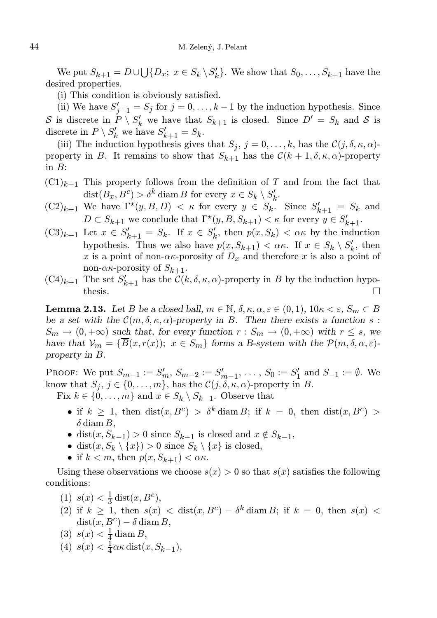We put  $S_{k+1} = D \cup \bigcup \{D_x; x \in S_k \setminus S'_k\}$ . We show that  $S_0, \ldots, S_{k+1}$  have the desired properties.

(i) This condition is obviously satisfied.

(ii) We have  $S'_{j+1} = S_j$  for  $j = 0, \ldots, k-1$  by the induction hypothesis. Since S is discrete in  $P \setminus S'_k$  we have that  $S_{k+1}$  is closed. Since  $D' = S_k$  and S is discrete in  $P \setminus S'_k$  we have  $S'_{k+1} = S_k$ .

(iii) The induction hypothesis gives that  $S_j$ ,  $j = 0, \ldots, k$ , has the  $\mathcal{C}(j, \delta, \kappa, \alpha)$ property in B. It remains to show that  $S_{k+1}$  has the  $\mathcal{C}(k+1,\delta,\kappa,\alpha)$ -property in  $B$ :

- $(C1)_{k+1}$  This property follows from the definition of T and from the fact that  $dist(B_x, B^c) > \delta^k \operatorname{diam} B$  for every  $x \in S_k \setminus S'_k$ .
- $(C2)_{k+1}$  We have  $\Gamma^*(y, B, D) < \kappa$  for every  $y \in S_k$ . Since  $S'_{k+1} = S_k$  and  $D \subset S_{k+1}$  we conclude that  $\Gamma^*(y, B, S_{k+1}) < \kappa$  for every  $y \in S'_{k+1}$ .
- $(C3)_{k+1}$  Let  $x \in S'_{k+1} = S_k$ . If  $x \in S'_k$ , then  $p(x, S_k) < \alpha \kappa$  by the induction hypothesis. Thus we also have  $p(x, S_{k+1}) < \alpha \kappa$ . If  $x \in S_k \setminus S'_k$ , then x is a point of non- $\alpha$ κ-porosity of  $D_x$  and therefore x is also a point of non- $\alpha$ κ-porosity of  $S_{k+1}$ .
- $(C4)_{k+1}$  The set  $S'_{k+1}$  has the  $\mathcal{C}(k, \delta, \kappa, \alpha)$ -property in B by the induction hypothesis.  $\Box$

**Lemma 2.13.** Let B be a closed ball,  $m \in \mathbb{N}$ ,  $\delta$ ,  $\kappa$ ,  $\alpha$ ,  $\varepsilon \in (0,1)$ ,  $10\kappa < \varepsilon$ ,  $S_m \subset B$ be a set with the  $\mathcal{C}(m, \delta, \kappa, \alpha)$ -property in B. Then there exists a function s:  $S_m \to (0, +\infty)$  such that, for every function  $r : S_m \to (0, +\infty)$  with  $r \leq s$ , we have that  $\mathcal{V}_m = \{\overline{B}(x, r(x)); x \in S_m\}$  forms a B-system with the  $\mathcal{P}(m, \delta, \alpha, \varepsilon)$ property in B.

PROOF: We put  $S_{m-1} := S'_m$ ,  $S_{m-2} := S'_{m-1}$ , ...,  $S_0 := S'_1$  and  $S_{-1} := \emptyset$ . We know that  $S_j$ ,  $j \in \{0, \ldots, m\}$ , has the  $\mathcal{C}(j, \delta, \kappa, \alpha)$ -property in B.

Fix  $k \in \{0, \ldots, m\}$  and  $x \in S_k \setminus S_{k-1}$ . Observe that

- if  $k \geq 1$ , then  $dist(x, B^c) > \delta^k$  diam B; if  $k = 0$ , then  $dist(x, B^c) >$  $\delta$  diam B,
- dist $(x, S_{k-1}) > 0$  since  $S_{k-1}$  is closed and  $x \notin S_{k-1}$ ,
- dist $(x, S_k \setminus \{x\}) > 0$  since  $S_k \setminus \{x\}$  is closed,
- if  $k < m$ , then  $p(x, S_{k+1}) < \alpha \kappa$ .

Using these observations we choose  $s(x) > 0$  so that  $s(x)$  satisfies the following conditions:

- (1)  $s(x) < \frac{1}{3} \text{dist}(x, B^c),$
- (2) if  $k \geq 1$ , then  $s(x) < \text{dist}(x, B^c) \delta^k \text{diam } B$ ; if  $k = 0$ , then  $s(x) <$  $dist(x, B^c) - \delta \operatorname{diam} B,$
- (3)  $s(x) < \frac{1}{4} \operatorname{diam} B$ ,
- (4)  $s(x) < \frac{1}{4}\alpha\kappa \text{ dist}(x, S_{k-1}),$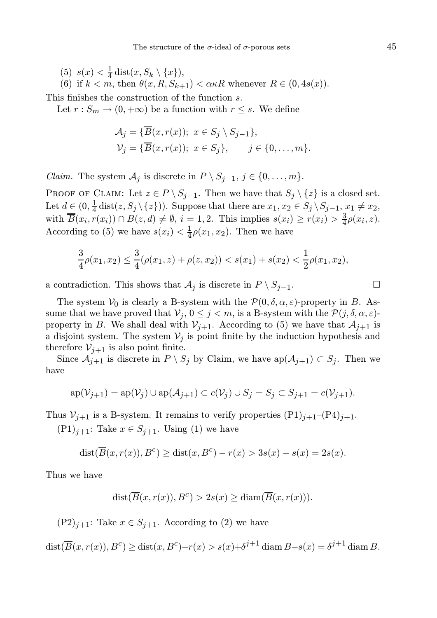(5)  $s(x) < \frac{1}{4} \text{dist}(x, S_k \setminus \{x\}),$ 

(6) if  $k < m$ , then  $\theta(x, R, S_{k+1}) < \alpha \kappa R$  whenever  $R \in (0, 4s(x)).$ 

This finishes the construction of the function s.

Let  $r : S_m \to (0, +\infty)$  be a function with  $r \leq s$ . We define

$$
\mathcal{A}_j = \{ \overline{B}(x, r(x)); \ x \in S_j \setminus S_{j-1} \},
$$
  

$$
\mathcal{V}_j = \{ \overline{B}(x, r(x)); \ x \in S_j \}, \qquad j \in \{0, \dots, m\}.
$$

*Claim.* The system  $\mathcal{A}_j$  is discrete in  $P \setminus S_{j-1}, j \in \{0, \ldots, m\}.$ 

PROOF OF CLAIM: Let  $z \in P \setminus S_{j-1}$ . Then we have that  $S_j \setminus \{z\}$  is a closed set. Let  $d \in (0, \frac{1}{4} \text{dist}(z, S_j \setminus \{z\}))$ . Suppose that there are  $x_1, x_2 \in S_j \setminus S_{j-1}, x_1 \neq x_2$ , with  $\overline{B}(x_i, r(x_i)) \cap B(z, d) \neq \emptyset$ ,  $i = 1, 2$ . This implies  $s(x_i) \geq r(x_i) > \frac{3}{4}\rho(x_i, z)$ . According to (5) we have  $s(x_i) < \frac{1}{4}\rho(x_1, x_2)$ . Then we have

$$
\frac{3}{4}\rho(x_1,x_2) \le \frac{3}{4}(\rho(x_1,z) + \rho(z,x_2)) < s(x_1) + s(x_2) < \frac{1}{2}\rho(x_1,x_2),
$$

a contradiction. This shows that  $\mathcal{A}_j$  is discrete in  $P \setminus S_{j-1}$ .

The system  $V_0$  is clearly a B-system with the  $\mathcal{P}(0, \delta, \alpha, \varepsilon)$ -property in B. Assume that we have proved that  $\mathcal{V}_j$ ,  $0 \leq j < m$ , is a B-system with the  $\mathcal{P}(j, \delta, \alpha, \varepsilon)$ property in B. We shall deal with  $V_{j+1}$ . According to (5) we have that  $\mathcal{A}_{j+1}$  is a disjoint system. The system  $V_j$  is point finite by the induction hypothesis and therefore  $V_{j+1}$  is also point finite.

Since  $\mathcal{A}_{j+1}$  is discrete in  $P \setminus S_j$  by Claim, we have  $ap(\mathcal{A}_{j+1}) \subset S_j$ . Then we have

$$
\mathrm{ap}(\mathcal{V}_{j+1}) = \mathrm{ap}(\mathcal{V}_j) \cup \mathrm{ap}(\mathcal{A}_{j+1}) \subset c(\mathcal{V}_j) \cup S_j = S_j \subset S_{j+1} = c(\mathcal{V}_{j+1}).
$$

Thus  $V_{i+1}$  is a B-system. It remains to verify properties  $(P1)_{i+1}-(P4)_{i+1}$ .

 $(P1)_{j+1}$ : Take  $x \in S_{j+1}$ . Using (1) we have

$$
dist(\overline{B}(x,r(x)),B^c) \geq dist(x,B^c) - r(x) > 3s(x) - s(x) = 2s(x).
$$

Thus we have

$$
dist(\overline{B}(x,r(x)),B^c) > 2s(x) \geq diam(\overline{B}(x,r(x))).
$$

 $(P2)_{j+1}$ : Take  $x \in S_{j+1}$ . According to (2) we have

 $dist(\overline{B}(x,r(x)),B^c) \geq dist(x,B^c)-r(x) > s(x)+\delta^{j+1} \operatorname{diam} B-s(x) = \delta^{j+1} \operatorname{diam} B.$ 

$$
\Box
$$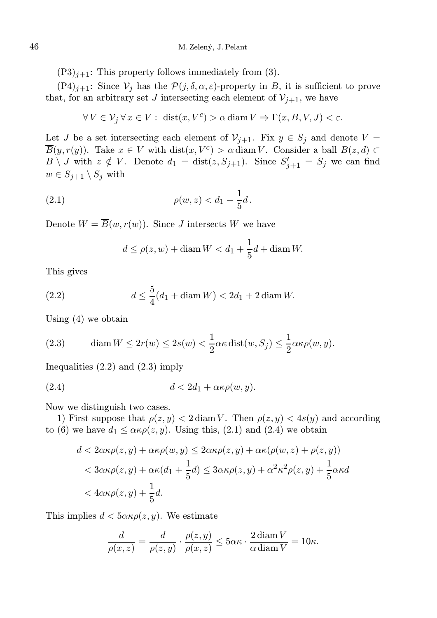$(P3)_{i+1}$ : This property follows immediately from (3).

 $(P4)_{j+1}$ : Since  $V_j$  has the  $\mathcal{P}(j, \delta, \alpha, \varepsilon)$ -property in B, it is sufficient to prove that, for an arbitrary set J intersecting each element of  $\mathcal{V}_{j+1}$ , we have

$$
\forall V \in \mathcal{V}_j \,\forall \, x \in V: \, \, \text{dist}(x, V^c) > \alpha \, \text{diam}\, V \Rightarrow \Gamma(x, B, V, J) < \varepsilon.
$$

Let J be a set intersecting each element of  $\mathcal{V}_{j+1}$ . Fix  $y \in S_j$  and denote  $V =$  $\overline{B}(y,r(y))$ . Take  $x \in V$  with  $dist(x, V^c) > \alpha \, diam V$ . Consider a ball  $B(z,d) \subset$  $B \setminus J$  with  $z \notin V$ . Denote  $d_1 = \text{dist}(z, S_{j+1})$ . Since  $S'_{j+1} = S_j$  we can find  $w \in S_{j+1} \setminus S_j$  with

(2.1) 
$$
\rho(w, z) < d_1 + \frac{1}{5}d \, .
$$

Denote  $W = \overline{B}(w, r(w))$ . Since J intersects W we have

$$
d \le \rho(z, w) + \operatorname{diam} W < d_1 + \frac{1}{5}d + \operatorname{diam} W.
$$

This gives

(2.2) 
$$
d \le \frac{5}{4}(d_1 + \operatorname{diam} W) < 2d_1 + 2 \operatorname{diam} W.
$$

Using (4) we obtain

(2.3) diam 
$$
W \leq 2r(w) \leq 2s(w) < \frac{1}{2}\alpha\kappa \text{ dist}(w, S_j) \leq \frac{1}{2}\alpha\kappa \rho(w, y).
$$

Inequalities  $(2.2)$  and  $(2.3)$  imply

$$
(2.4) \t\t d < 2d_1 + \alpha \kappa \rho(w, y).
$$

Now we distinguish two cases.

1) First suppose that  $\rho(z, y) < 2 \text{ diam } V$ . Then  $\rho(z, y) < 4s(y)$  and according to (6) we have  $d_1 \leq \alpha \kappa \rho(z, y)$ . Using this, (2.1) and (2.4) we obtain

$$
d < 2\alpha\kappa\rho(z, y) + \alpha\kappa\rho(w, y) \le 2\alpha\kappa\rho(z, y) + \alpha\kappa(\rho(w, z) + \rho(z, y))
$$
  

$$
< 3\alpha\kappa\rho(z, y) + \alpha\kappa(d_1 + \frac{1}{5}d) \le 3\alpha\kappa\rho(z, y) + \alpha^2\kappa^2\rho(z, y) + \frac{1}{5}\alpha\kappa d
$$
  

$$
< 4\alpha\kappa\rho(z, y) + \frac{1}{5}d.
$$

This implies  $d < 5\alpha\kappa\rho(z, y)$ . We estimate

$$
\frac{d}{\rho(x,z)} = \frac{d}{\rho(z,y)} \cdot \frac{\rho(z,y)}{\rho(x,z)} \le 5\alpha\kappa \cdot \frac{2\operatorname{diam} V}{\alpha \operatorname{diam} V} = 10\kappa.
$$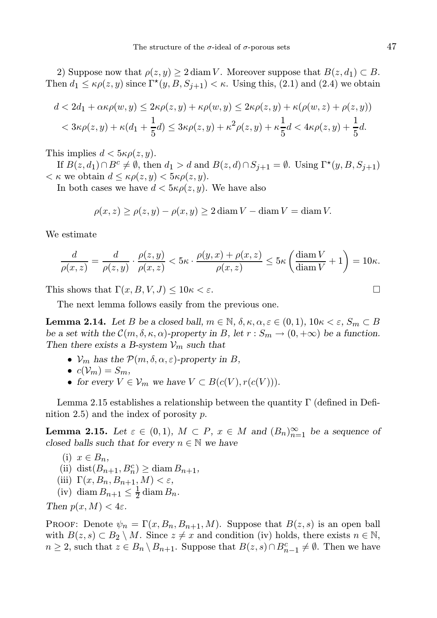2) Suppose now that  $\rho(z, y) \geq 2 \text{ diam } V$ . Moreover suppose that  $B(z, d_1) \subset B$ . Then  $d_1 \leq \kappa \rho(z, y)$  since  $\Gamma^*(y, B, S_{j+1}) < \kappa$ . Using this, (2.1) and (2.4) we obtain

$$
d < 2d_1 + \alpha\kappa\rho(w, y) \le 2\kappa\rho(z, y) + \kappa\rho(w, y) \le 2\kappa\rho(z, y) + \kappa(\rho(w, z) + \rho(z, y))
$$
  

$$
< 3\kappa\rho(z, y) + \kappa(d_1 + \frac{1}{5}d) \le 3\kappa\rho(z, y) + \kappa^2\rho(z, y) + \kappa\frac{1}{5}d < 4\kappa\rho(z, y) + \frac{1}{5}d.
$$

This implies  $d < 5\kappa \rho(z, y)$ .

If  $B(z, d_1) \cap B^c \neq \emptyset$ , then  $d_1 > d$  and  $B(z, d) \cap S_{j+1} = \emptyset$ . Using  $\Gamma^*(y, B, S_{j+1})$  $<\kappa$  we obtain  $d \leq \kappa \rho(z, y) < 5\kappa \rho(z, y)$ .

In both cases we have  $d < 5\kappa \rho(z, y)$ . We have also

$$
\rho(x, z) \ge \rho(z, y) - \rho(x, y) \ge 2 \operatorname{diam} V - \operatorname{diam} V = \operatorname{diam} V.
$$

We estimate

$$
\frac{d}{\rho(x,z)} = \frac{d}{\rho(z,y)} \cdot \frac{\rho(z,y)}{\rho(x,z)} < 5\kappa \cdot \frac{\rho(y,x) + \rho(x,z)}{\rho(x,z)} \le 5\kappa \left(\frac{\text{diam } V}{\text{diam } V} + 1\right) = 10\kappa.
$$

This shows that  $\Gamma(x, B, V, J) \leq 10\kappa < \varepsilon$ .

The next lemma follows easily from the previous one.

**Lemma 2.14.** Let B be a closed ball,  $m \in \mathbb{N}$ ,  $\delta$ ,  $\kappa$ ,  $\alpha$ ,  $\varepsilon \in (0,1)$ ,  $10\kappa < \varepsilon$ ,  $S_m \subset B$ be a set with the  $\mathcal{C}(m, \delta, \kappa, \alpha)$ -property in B, let  $r : S_m \to (0, +\infty)$  be a function. Then there exists a B-system  $\mathcal{V}_m$  such that

- $V_m$  has the  $\mathcal{P}(m, \delta, \alpha, \varepsilon)$ -property in B,
- $c(\mathcal{V}_m) = S_m$ ,
- for every  $V \in V_m$  we have  $V \subset B(c(V), r(c(V))).$

Lemma 2.15 establishes a relationship between the quantity Γ (defined in Definition 2.5) and the index of porosity  $p$ .

**Lemma 2.15.** Let  $\varepsilon \in (0,1)$ ,  $M \subset P$ ,  $x \in M$  and  $(B_n)_{n=1}^{\infty}$  be a sequence of closed balls such that for every  $n \in \mathbb{N}$  we have

(i) 
$$
x \in B_n
$$
,  
\n(ii)  $dist(B_{n+1}, B_n^c) \geq diam B_{n+1}$ ,  
\n(iii)  $\Gamma(x, B_n, B_{n+1}, M) < \varepsilon$ ,

(iv) diam  $B_{n+1} \leq \frac{1}{2} \operatorname{diam} B_n$ .

Then  $p(x, M) < 4\varepsilon$ .

PROOF: Denote  $\psi_n = \Gamma(x, B_n, B_{n+1}, M)$ . Suppose that  $B(z, s)$  is an open ball with  $B(z, s) \subset B_2 \setminus M$ . Since  $z \neq x$  and condition (iv) holds, there exists  $n \in \mathbb{N}$ ,  $n \geq 2$ , such that  $z \in B_n \setminus B_{n+1}$ . Suppose that  $B(z, s) \cap B_{n-1}^c \neq \emptyset$ . Then we have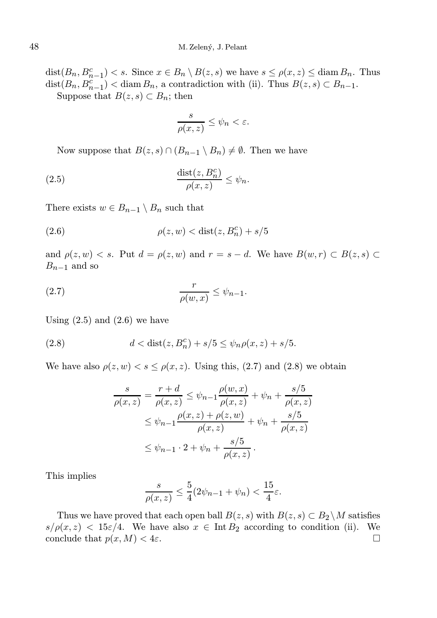$dist(B_n, B_{n-1}^c) < s$ . Since  $x \in B_n \setminus B(z, s)$  we have  $s \le \rho(x, z) \le \text{diam } B_n$ . Thus  $dist(B_n, B_{n-1}^c) < diam B_n$ , a contradiction with (ii). Thus  $B(z, s) \subset B_{n-1}$ . Suppose that  $B(z, s) \subset B_n$ ; then

$$
\frac{s}{\rho(x,z)} \le \psi_n < \varepsilon.
$$

Now suppose that  $B(z, s) \cap (B_{n-1} \setminus B_n) \neq \emptyset$ . Then we have

(2.5) 
$$
\frac{\operatorname{dist}(z, B_n^c)}{\rho(x, z)} \leq \psi_n.
$$

There exists  $w \in B_{n-1} \setminus B_n$  such that

$$
(2.6) \qquad \rho(z, w) < \text{dist}(z, B_n^c) + s/5
$$

and  $\rho(z, w) < s$ . Put  $d = \rho(z, w)$  and  $r = s - d$ . We have  $B(w, r) \subset B(z, s)$  $B_{n-1}$  and so

$$
\frac{r}{\rho(w,x)} \le \psi_{n-1}.
$$

Using  $(2.5)$  and  $(2.6)$  we have

(2.8) 
$$
d < \text{dist}(z, B_n^c) + s/5 \le \psi_n \rho(x, z) + s/5.
$$

We have also  $\rho(z, w) < s \leq \rho(x, z)$ . Using this, (2.7) and (2.8) we obtain

$$
\frac{s}{\rho(x,z)} = \frac{r+d}{\rho(x,z)} \le \psi_{n-1} \frac{\rho(w,x)}{\rho(x,z)} + \psi_n + \frac{s/5}{\rho(x,z)}
$$
  

$$
\le \psi_{n-1} \frac{\rho(x,z) + \rho(z,w)}{\rho(x,z)} + \psi_n + \frac{s/5}{\rho(x,z)}
$$
  

$$
\le \psi_{n-1} \cdot 2 + \psi_n + \frac{s/5}{\rho(x,z)}.
$$

This implies

$$
\frac{s}{\rho(x,z)} \le \frac{5}{4} (2\psi_{n-1} + \psi_n) < \frac{15}{4} \varepsilon.
$$

Thus we have proved that each open ball  $B(z, s)$  with  $B(z, s) \subset B_2 \backslash M$  satisfies  $s/\rho(x, z) < 15\varepsilon/4$ . We have also  $x \in \text{Int } B_2$  according to condition (ii). We conclude that  $p(x, M) < 4\varepsilon$ .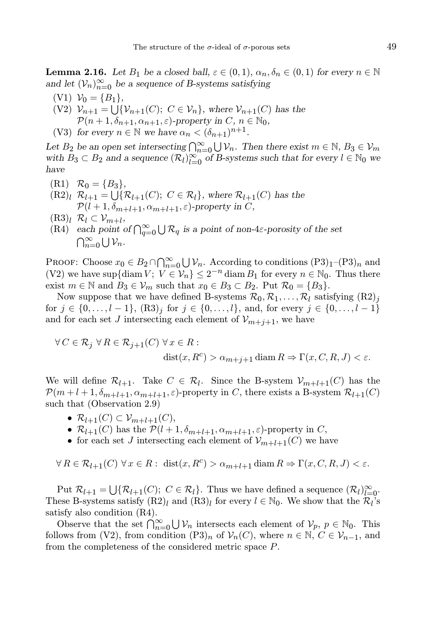**Lemma 2.16.** Let  $B_1$  be a closed ball,  $\varepsilon \in (0,1)$ ,  $\alpha_n, \delta_n \in (0,1)$  for every  $n \in \mathbb{N}$ and let  $(\mathcal{V}_n)_{n=0}^{\infty}$  be a sequence of B-systems satisfying

 $(V1)$   $V_0 = {B_1},$ (V2)  $\mathcal{V}_{n+1} = \bigcup \{ \mathcal{V}_{n+1}(C); C \in \mathcal{V}_n \}$ , where  $\mathcal{V}_{n+1}(C)$  has the  $\mathcal{P}(n+1,\delta_{n+1},\alpha_{n+1},\varepsilon)$ -property in  $C, n \in \mathbb{N}_0$ ,

(V3) for every  $n \in \mathbb{N}$  we have  $\alpha_n < (\delta_{n+1})^{n+1}$ .

Let  $B_2$  be an open set intersecting  $\bigcap_{n=0}^{\infty} \bigcup \mathcal{V}_n$ . Then there exist  $m \in \mathbb{N}$ ,  $B_3 \in \mathcal{V}_m$ with  $B_3 \subset B_2$  and a sequence  $(\mathcal{R}_l)_{l=0}^{\infty}$  of B-systems such that for every  $l \in \mathbb{N}_0$  we have

- $(R1)$   $\mathcal{R}_0 = \{B_3\},\$
- $(R2)_l \ \mathcal{R}_{l+1} = \bigcup \{ \mathcal{R}_{l+1}(C); \ C \in \mathcal{R}_l \}, \text{ where } \mathcal{R}_{l+1}(C) \text{ has the }$  $\mathcal{P}(l+1,\delta_{m+l+1},\alpha_{m+l+1},\varepsilon)$ -property in C,
- $(R3)_l \ \mathcal{R}_l \subset \mathcal{V}_{m+l},$
- (R4) each point of  $\bigcap_{q=0}^{\infty} \bigcup \mathcal{R}_q$  is a point of non-4 $\varepsilon$ -porosity of the set  $\bigcap_{n=0}^{\infty} \bigcup \mathcal{V}_n$ .

PROOF: Choose  $x_0 \in B_2 \cap \bigcap_{n=0}^{\infty} \bigcup \mathcal{V}_n$ . According to conditions  $(P3)_1$ – $(P3)_n$  and (V2) we have sup{diam  $V$ ;  $V \in V_n$ }  $\leq 2^{-n}$  diam  $B_1$  for every  $n \in \mathbb{N}_0$ . Thus there exist  $m \in \mathbb{N}$  and  $B_3 \in V_m$  such that  $x_0 \in B_3 \subset B_2$ . Put  $\mathcal{R}_0 = \{B_3\}$ .

Now suppose that we have defined B-systems  $\mathcal{R}_0, \mathcal{R}_1, \ldots, \mathcal{R}_l$  satisfying  $(\mathrm{R2})_j$ for  $j \in \{0, \ldots, l-1\}$ ,  $(R3)_j$  for  $j \in \{0, \ldots, l\}$ , and, for every  $j \in \{0, \ldots, l-1\}$ and for each set J intersecting each element of  $\mathcal{V}_{m+j+1}$ , we have

$$
\forall C \in \mathcal{R}_j \ \forall R \in \mathcal{R}_{j+1}(C) \ \forall x \in R : \\
\text{dist}(x, R^c) > \alpha_{m+j+1} \text{diam}\, R \Rightarrow \Gamma(x, C, R, J) < \varepsilon.
$$

We will define  $\mathcal{R}_{l+1}$ . Take  $C \in \mathcal{R}_l$ . Since the B-system  $\mathcal{V}_{m+l+1}(C)$  has the  $\mathcal{P}(m+l+1,\delta_{m+l+1},\alpha_{m+l+1},\varepsilon)$ -property in C, there exists a B-system  $\mathcal{R}_{l+1}(C)$ such that (Observation 2.9)

- $\mathcal{R}_{l+1}(C) \subset \mathcal{V}_{m+l+1}(C),$
- $\mathcal{R}_{l+1}(C)$  has the  $\mathcal{P}(l+1, \delta_{m+l+1}, \alpha_{m+l+1}, \varepsilon)$ -property in C,
- for each set J intersecting each element of  $\mathcal{V}_{m+l+1}(C)$  we have

 $\forall R \in \mathcal{R}_{l+1}(C) \ \forall x \in R: \ \text{dist}(x, R^c) > \alpha_{m+l+1} \text{diam } R \Rightarrow \Gamma(x, C, R, J) < \varepsilon.$ 

Put  $\mathcal{R}_{l+1} = \bigcup \{ \mathcal{R}_{l+1}(C); \ C \in \mathcal{R}_l \}.$  Thus we have defined a sequence  $(\mathcal{R}_l)_{l=0}^{\infty}$ . These B-systems satisfy  $(R2)_l$  and  $(R3)_l$  for every  $l \in \mathbb{N}_0$ . We show that the  $\mathcal{R}_l$ 's satisfy also condition (R4).

Observe that the set  $\bigcap_{n=0}^{\infty} \bigcup \mathcal{V}_n$  intersects each element of  $\mathcal{V}_p$ ,  $p \in \mathbb{N}_0$ . This follows from (V2), from condition  $(P3)_n$  of  $\mathcal{V}_n(C)$ , where  $n \in \mathbb{N}$ ,  $C \in \mathcal{V}_{n-1}$ , and from the completeness of the considered metric space P.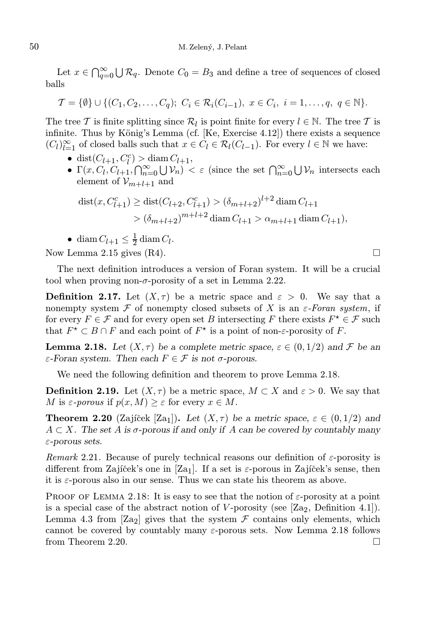Let  $x \in \bigcap_{q=0}^{\infty} \bigcup \mathcal{R}_q$ . Denote  $C_0 = B_3$  and define a tree of sequences of closed balls

$$
\mathcal{T} = \{\emptyset\} \cup \{(C_1, C_2, \dots, C_q); \ C_i \in \mathcal{R}_i(C_{i-1}), \ x \in C_i, \ i = 1, \dots, q, \ q \in \mathbb{N}\}.
$$

The tree  $T$  is finite splitting since  $\mathcal{R}_l$  is point finite for every  $l \in \mathbb{N}$ . The tree  $T$  is infinite. Thus by König's Lemma (cf.  $[Ke, Exercise 4.12]$ ) there exists a sequence  $(C_l)_{l=1}^{\infty}$  of closed balls such that  $x \in C_l \in \mathcal{R}_l(C_{l-1})$ . For every  $l \in \mathbb{N}$  we have:

- dist $(C_{l+1}, C_l^c) > \text{diam } C_{l+1},$
- $\Gamma(x, C_l, C_{l+1}, \bigcap_{n=0}^{\infty} \bigcup \mathcal{V}_n) < \varepsilon$  (since the set  $\bigcap_{n=0}^{\infty} \bigcup \mathcal{V}_n$  intersects each element of  $\mathcal{V}_{m+l+1}$  and

$$
dist(x, C_{l+1}^c) \geq dist(C_{l+2}, C_{l+1}^c) > (\delta_{m+l+2})^{l+2} diam C_{l+1}
$$
  
>  $(\delta_{m+l+2})^{m+l+2} diam C_{l+1} > \alpha_{m+l+1} diam C_{l+1}),$ 

• diam  $C_{l+1} \leq \frac{1}{2} \operatorname{diam} C_l$ .

Now Lemma 2.15 gives  $(R4)$ .

The next definition introduces a version of Foran system. It will be a crucial tool when proving non- $\sigma$ -porosity of a set in Lemma 2.22.

**Definition 2.17.** Let  $(X, \tau)$  be a metric space and  $\varepsilon > 0$ . We say that a nonempty system F of nonempty closed subsets of X is an  $\varepsilon$ -Foran system, if for every  $F \in \mathcal{F}$  and for every open set B intersecting F there exists  $F^* \in \mathcal{F}$  such that  $F^{\star} \subset B \cap F$  and each point of  $F^{\star}$  is a point of non- $\varepsilon$ -porosity of F.

**Lemma 2.18.** Let  $(X, \tau)$  be a complete metric space,  $\varepsilon \in (0, 1/2)$  and F be an ε-Foran system. Then each F ∈ F is not σ-porous.

We need the following definition and theorem to prove Lemma 2.18.

**Definition 2.19.** Let  $(X, \tau)$  be a metric space,  $M \subset X$  and  $\varepsilon > 0$ . We say that M is  $\varepsilon$ -porous if  $p(x, M) \geq \varepsilon$  for every  $x \in M$ .

**Theorem 2.20** (Zajíček [Za<sub>1</sub>]). Let  $(X, \tau)$  be a metric space,  $\varepsilon \in (0, 1/2)$  and  $A \subset X$ . The set A is  $\sigma$ -porous if and only if A can be covered by countably many ε-porous sets.

Remark 2.21. Because of purely technical reasons our definition of  $\varepsilon$ -porosity is different from Zajíček's one in [Za<sub>1</sub>]. If a set is  $\varepsilon$ -porous in Zajíček's sense, then it is  $\varepsilon$ -porous also in our sense. Thus we can state his theorem as above.

PROOF OF LEMMA 2.18: It is easy to see that the notion of  $\varepsilon$ -porosity at a point is a special case of the abstract notion of  $V$ -porosity (see [Za<sub>2</sub>, Definition 4.1]). Lemma 4.3 from [Za<sub>2</sub>] gives that the system  $\mathcal F$  contains only elements, which cannot be covered by countably many  $\varepsilon$ -porous sets. Now Lemma 2.18 follows from Theorem 2.20.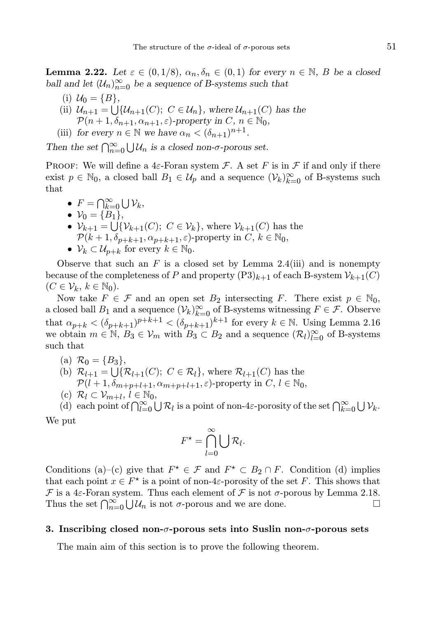**Lemma 2.22.** Let  $\varepsilon \in (0,1/8), \alpha_n, \delta_n \in (0,1)$  for every  $n \in \mathbb{N}$ , B be a closed ball and let  $(U_n)_{n=0}^{\infty}$  be a sequence of B-systems such that

- (i)  $U_0 = \{B\},\,$
- (ii)  $\mathcal{U}_{n+1} = \bigcup \{ \mathcal{U}_{n+1}(C); C \in \mathcal{U}_n \}$ , where  $\mathcal{U}_{n+1}(C)$  has the  $\mathcal{P}(n+1,\delta_{n+1},\alpha_{n+1},\varepsilon)$ -property in  $C, n \in \mathbb{N}_0$ ,
- (iii) for every  $n \in \mathbb{N}$  we have  $\alpha_n < (\delta_{n+1})^{n+1}$ .

Then the set  $\bigcap_{n=0}^{\infty} \bigcup \mathcal{U}_n$  is a closed non- $\sigma$ -porous set.

PROOF: We will define a 4 $\varepsilon$ -Foran system  $\mathcal F$ . A set F is in F if and only if there exist  $p \in \mathbb{N}_0$ , a closed ball  $B_1 \in \mathcal{U}_p$  and a sequence  $(\mathcal{V}_k)_{k=0}^{\infty}$  of B-systems such that

•  $F = \bigcap_{k=0}^{\infty} \bigcup \mathcal{V}_k$ , •  $V_0 = \{B_1\},\,$ •  $\mathcal{V}_{k+1} = \bigcup \{ \mathcal{V}_{k+1}(C); C \in \mathcal{V}_k \}$ , where  $\mathcal{V}_{k+1}(C)$  has the  $\mathcal{P}(k+1,\delta_{p+k+1},\alpha_{p+k+1},\varepsilon)$ -property in  $C, k \in \mathbb{N}_0$ , •  $\mathcal{V}_k \subset \mathcal{U}_{p+k}$  for every  $k \in \mathbb{N}_0$ .

Observe that such an F is a closed set by Lemma 2.4(iii) and is nonempty because of the completeness of P and property  $(P3)_{k+1}$  of each B-system  $\mathcal{V}_{k+1}(C)$  $(C \in \mathcal{V}_k, k \in \mathbb{N}_0).$ 

Now take  $F \in \mathcal{F}$  and an open set  $B_2$  intersecting F. There exist  $p \in \mathbb{N}_0$ , a closed ball  $B_1$  and a sequence  $(\mathcal{V}_k)_{k=0}^{\infty}$  of B-systems witnessing  $F \in \mathcal{F}$ . Observe that  $\alpha_{p+k} < (\delta_{p+k+1})^{p+k+1} < (\delta_{p+k+1})^{k+1}$  for every  $k \in \mathbb{N}$ . Using Lemma 2.16 we obtain  $m \in \mathbb{N}$ ,  $B_3 \in V_m$  with  $B_3 \subset B_2$  and a sequence  $(\mathcal{R}_l)_{l=0}^{\infty}$  of B-systems such that

- (a)  $\mathcal{R}_0 = \{B_3\},\,$
- (b)  $\mathcal{R}_{l+1} = \bigcup \{ \mathcal{R}_{l+1}(C); C \in \mathcal{R}_l \}$ , where  $\mathcal{R}_{l+1}(C)$  has the
- $\mathcal{P}(l+1,\delta_{m+p+l+1},\alpha_{m+p+l+1},\varepsilon)$ -property in  $C, l \in \mathbb{N}_0$ ,
- (c)  $\mathcal{R}_l \subset \mathcal{V}_{m+l}, l \in \mathbb{N}_0$ ,

(d) each point of  $\bigcap_{l=0}^{\infty} \bigcup \mathcal{R}_l$  is a point of non-4 $\varepsilon$ -porosity of the set  $\bigcap_{k=0}^{\infty} \bigcup \mathcal{V}_k$ .

We put

$$
F^* = \bigcap_{l=0}^{\infty} \bigcup \mathcal{R}_l.
$$

Conditions (a)–(c) give that  $F^* \in \mathcal{F}$  and  $F^* \subset B_2 \cap F$ . Condition (d) implies that each point  $x \in F^*$  is a point of non-4 $\varepsilon$ -porosity of the set F. This shows that  $\mathcal F$  is a 4 $\varepsilon$ -Foran system. Thus each element of  $\mathcal F$  is not  $\sigma$ -porous by Lemma 2.18. Thus the set  $\bigcap_{n=0}^{\infty} \bigcup \mathcal{U}_n$  is not  $\sigma$ -porous and we are done.

#### 3. Inscribing closed non- $\sigma$ -porous sets into Suslin non- $\sigma$ -porous sets

The main aim of this section is to prove the following theorem.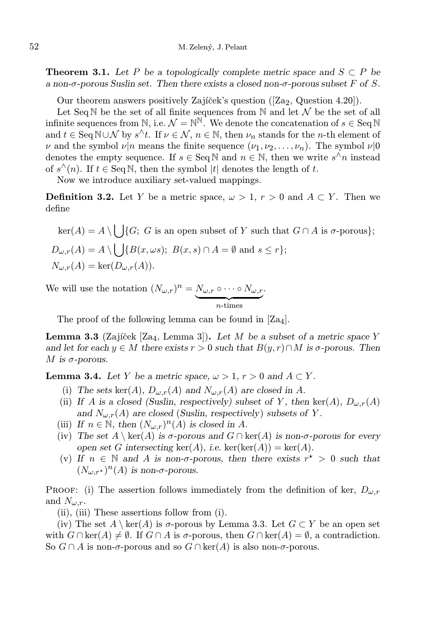**Theorem 3.1.** Let P be a topologically complete metric space and  $S \subset P$  be a non- $\sigma$ -porous Suslin set. Then there exists a closed non- $\sigma$ -porous subset F of S.

Our theorem answers positively Zajíček's question  $([Za<sub>2</sub>, Q<sub>u</sub>, Q<sub>u</sub>, Q<sub>u</sub>])$ .

Let Seq N be the set of all finite sequences from N and let  $\mathcal N$  be the set of all infinite sequences from N, i.e.  $\mathcal{N} = \mathbb{N}^{\mathbb{N}}$ . We denote the concatenation of  $s \in \text{Seq N}$ and  $t \in \text{Seq } \mathbb{N} \cup \mathcal{N}$  by  $s^{\wedge}t$ . If  $\nu \in \mathcal{N}$ ,  $n \in \mathbb{N}$ , then  $\nu_n$  stands for the *n*-th element of  $\nu$  and the symbol  $\nu|n$  means the finite sequence  $(\nu_1, \nu_2, \ldots, \nu_n)$ . The symbol  $\nu|0$ denotes the empty sequence. If  $s \in \text{Seq N}$  and  $n \in \mathbb{N}$ , then we write  $s^{\hat{\wedge}}n$  instead of  $s^{\wedge}(n)$ . If  $t \in \text{Seq N}$ , then the symbol  $|t|$  denotes the length of t.

Now we introduce auxiliary set-valued mappings.

**Definition 3.2.** Let Y be a metric space,  $\omega > 1$ ,  $r > 0$  and  $A \subset Y$ . Then we define

 $\ker(A) = A \setminus \bigcup \{G; G \text{ is an open subset of } Y \text{ such that } G \cap A \text{ is } \sigma\text{-porous}\};$  $D_{\omega,r}(A) = A \setminus \bigcup \{B(x,\omega s); B(x,s) \cap A = \emptyset \text{ and } s \leq r\};$  $N_{\omega,r}(A) = \ker(D_{\omega,r}(A)).$ 

We will use the notation  $(N_{\omega,r})^n = N_{\omega,r} \circ \cdots \circ N_{\omega,r}$ .

 $\overbrace{n$-times}$ 

The proof of the following lemma can be found in  $[Z_{a4}]$ .

**Lemma 3.3** (Zajíček [Za<sub>4</sub>, Lemma 3]). Let M be a subset of a metric space Y and let for each  $y \in M$  there exists  $r > 0$  such that  $B(y, r) \cap M$  is  $\sigma$ -porous. Then M is  $\sigma$ -porous.

**Lemma 3.4.** Let Y be a metric space,  $\omega > 1$ ,  $r > 0$  and  $A \subset Y$ .

- (i) The sets ker(A),  $D_{\omega,r}(A)$  and  $N_{\omega,r}(A)$  are closed in A.
- (ii) If A is a closed (Suslin, respectively) subset of Y, then ker(A),  $D_{\omega,r}(A)$ and  $N_{\omega,r}(A)$  are closed (Suslin, respectively) subsets of Y.
- (iii) If  $n \in \mathbb{N}$ , then  $(N_{\omega,r})^n(A)$  is closed in A.
- (iv) The set  $A \setminus \text{ker}(A)$  is  $\sigma$ -porous and  $G \cap \text{ker}(A)$  is non- $\sigma$ -porous for every open set G intersecting  $ker(A)$ , i.e.  $ker(ker(A)) = ker(A)$ .
- (v) If  $n \in \mathbb{N}$  and A is non- $\sigma$ -porous, then there exists  $r^* > 0$  such that  $(N_{\omega,r^{\star}})^n(A)$  is non- $\sigma$ -porous.

PROOF: (i) The assertion follows immediately from the definition of ker,  $D_{\omega,r}$ and  $N_{\omega}$  r.

(ii), (iii) These assertions follow from (i).

(iv) The set  $A \setminus \text{ker}(A)$  is  $\sigma$ -porous by Lemma 3.3. Let  $G \subset Y$  be an open set with  $G \cap \text{ker}(A) \neq \emptyset$ . If  $G \cap A$  is  $\sigma$ -porous, then  $G \cap \text{ker}(A) = \emptyset$ , a contradiction. So  $G \cap A$  is non- $\sigma$ -porous and so  $G \cap \text{ker}(A)$  is also non- $\sigma$ -porous.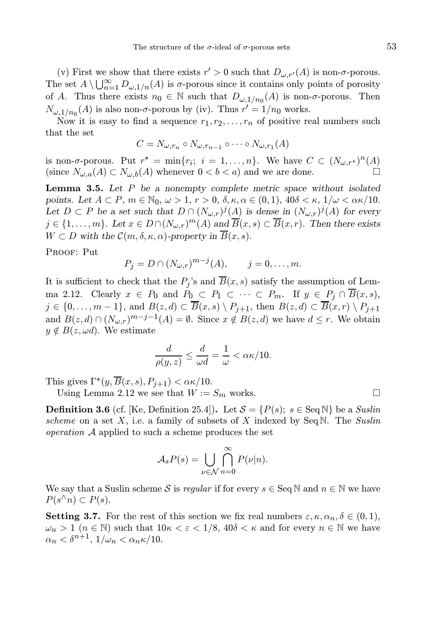(v) First we show that there exists  $r' > 0$  such that  $D_{\omega, r'}(A)$  is non- $\sigma$ -porous. The set  $A \setminus \bigcup_{n=1}^{\infty} D_{\omega,1/n}(A)$  is  $\sigma$ -porous since it contains only points of porosity of A. Thus there exists  $n_0 \in \mathbb{N}$  such that  $D_{\omega,1/n_0}(A)$  is non- $\sigma$ -porous. Then  $N_{\omega,1/n_0}(A)$  is also non- $\sigma$ -porous by (iv). Thus  $r'=1/n_0$  works.

Now it is easy to find a sequence  $r_1, r_2, \ldots, r_n$  of positive real numbers such that the set

$$
C = N_{\omega, r_n} \circ N_{\omega, r_{n-1}} \circ \cdots \circ N_{\omega, r_1}(A)
$$

is non- $\sigma$ -porous. Put  $r^* = \min\{r_i; i = 1, ..., n\}$ . We have  $C \subset (N_{\omega,r^*})^n(A)$ (since  $N_{\omega,a}(A) \subset N_{\omega,b}(A)$  whenever  $0 < b < a$ ) and we are done.

**Lemma 3.5.** Let  $P$  be a nonempty complete metric space without isolated points. Let  $A \subset P$ ,  $m \in \mathbb{N}_0$ ,  $\omega > 1$ ,  $r > 0$ ,  $\delta$ ,  $\kappa$ ,  $\alpha \in (0, 1)$ ,  $40\delta < \kappa$ ,  $1/\omega < \alpha \kappa/10$ . Let  $D \subset P$  be a set such that  $D \cap (N_{\omega,r})^j(A)$  is dense in  $(N_{\omega,r})^j(A)$  for every  $j \in \{1, \ldots, m\}$ . Let  $x \in D \cap (N_{\omega,r})^m(A)$  and  $\overline{B}(x, s) \subset \overline{B}(x, r)$ . Then there exists  $W \subset D$  with the  $\mathcal{C}(m, \delta, \kappa, \alpha)$ -property in  $\overline{B}(x, s)$ .

PROOF: Put

$$
P_j = D \cap (N_{\omega,r})^{m-j}(A), \qquad j = 0, ..., m.
$$

It is sufficient to check that the  $P_j$ 's and  $B(x, s)$  satisfy the assumption of Lemma 2.12. Clearly  $x \in P_0$  and  $P_0 \subset P_1 \subset \cdots \subset P_m$ . If  $y \in P_j \cap \overline{B}(x, s)$ ,  $j \in \{0, \ldots, m-1\}$ , and  $B(z, d) \subset \overline{B}(x, s) \setminus P_{j+1}$ , then  $B(z, d) \subset \overline{B}(x, r) \setminus P_{j+1}$ and  $B(z, d) \cap (N_{\omega,r})^{m-j-1}(A) = \emptyset$ . Since  $x \notin B(z, d)$  we have  $d \leq r$ . We obtain  $y \notin B(z, \omega d)$ . We estimate

$$
\frac{d}{\rho(y,z)} \le \frac{d}{\omega d} = \frac{1}{\omega} < \alpha \kappa / 10.
$$

This gives  $\Gamma^*(y, \overline{B}(x, s), P_{j+1}) < \alpha \kappa/10$ .

Using Lemma 2.12 we see that  $W := S_m$  works.

**Definition 3.6** (cf. [Ke, Definition 25.4]). Let  $S = {P(s)}$ ;  $s \in \text{Seq N}$  be a *Suslin* scheme on a set  $X$ , i.e. a family of subsets of  $X$  indexed by Seq N. The Suslin operation A applied to such a scheme produces the set

$$
\mathcal{A}_s P(s) = \bigcup_{\nu \in \mathcal{N}} \bigcap_{n=0}^{\infty} P(\nu | n).
$$

We say that a Suslin scheme S is regular if for every  $s \in \text{Seq N}$  and  $n \in \mathbb{N}$  we have  $P(s^{\wedge} n) \subset P(s)$ .

**Setting 3.7.** For the rest of this section we fix real numbers  $\varepsilon, \kappa, \alpha_n, \delta \in (0,1)$ ,  $\omega_n > 1$  ( $n \in \mathbb{N}$ ) such that  $10\kappa < \varepsilon < 1/8$ ,  $40\delta < \kappa$  and for every  $n \in \mathbb{N}$  we have  $\alpha_n < \delta^{n+1}, 1/\omega_n < \alpha_n \kappa/10.$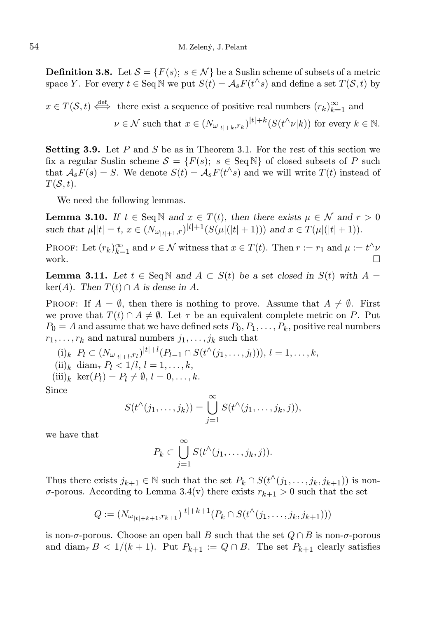**Definition 3.8.** Let  $\mathcal{S} = \{F(s); s \in \mathcal{N}\}\$ be a Suslin scheme of subsets of a metric space Y. For every  $t \in \text{Seq N}$  we put  $S(t) = A_s F(t^{\wedge} s)$  and define a set  $T(S, t)$  by

 $x \in T(\mathcal{S}, t) \stackrel{\text{def}}{\iff}$  there exist a sequence of positive real numbers  $(r_k)_{k=1}^{\infty}$  and  $\nu \in \mathcal{N}$  such that  $x \in (N_{\omega_{|t|+k},r_k})^{|t|+k} (S(t^{\wedge} \nu |k))$  for every  $k \in \mathbb{N}$ .

**Setting 3.9.** Let P and S be as in Theorem 3.1. For the rest of this section we fix a regular Suslin scheme  $S = \{F(s); s \in \text{Seq N}\}\$  of closed subsets of P such that  $A_sF(s) = S$ . We denote  $S(t) = A_sF(t^{\wedge}s)$  and we will write  $T(t)$  instead of  $T(\mathcal{S}, t)$ .

We need the following lemmas.

**Lemma 3.10.** If  $t \in \text{Seq } \mathbb{N}$  and  $x \in T(t)$ , then there exists  $\mu \in \mathcal{N}$  and  $r > 0$ such that  $\mu||t| = t$ ,  $x \in (N_{\omega_{|t|+1},r})^{|t|+1}(S(\mu|(|t|+1)))$  and  $x \in T(\mu|(|t|+1)).$ 

PROOF: Let  $(r_k)_{k=1}^{\infty}$  and  $\nu \in \mathcal{N}$  witness that  $x \in T(t)$ . Then  $r := r_1$  and  $\mu := t^{\wedge} \nu$ work.  $\Box$ 

**Lemma 3.11.** Let  $t \in \text{Seq} \mathbb{N}$  and  $A \subset S(t)$  be a set closed in  $S(t)$  with  $A =$ ker(A). Then  $T(t) \cap A$  is dense in A.

**PROOF:** If  $A = \emptyset$ , then there is nothing to prove. Assume that  $A \neq \emptyset$ . First we prove that  $T(t) \cap A \neq \emptyset$ . Let  $\tau$  be an equivalent complete metric on P. Put  $P_0 = A$  and assume that we have defined sets  $P_0, P_1, \ldots, P_k$ , positive real numbers  $r_1, \ldots, r_k$  and natural numbers  $j_1, \ldots, j_k$  such that

(i)<sub>k</sub>  $P_l \subset (N_{\omega_{|t|+l},r_l})^{|t|+l}(P_{l-1} \cap S(t^{\wedge}(j_1,\ldots,j_l))), l = 1,\ldots,k,$  $(ii)_k$  diam<sub> $\tau$ </sub>  $P_l$  < 1/l, l = 1, ..., k,

 $(iii)_k \ker(P_l) = P_l \neq \emptyset, l = 0, \ldots, k.$ 

Since

$$
S(t^{\wedge}(j_1,\ldots,j_k))=\bigcup_{j=1}^{\infty}S(t^{\wedge}(j_1,\ldots,j_k,j)),
$$

we have that

$$
P_k \subset \bigcup_{j=1}^{\infty} S(t^{\wedge}(j_1,\ldots,j_k,j)).
$$

Thus there exists  $j_{k+1} \in \mathbb{N}$  such that the set  $P_k \cap S(t^{\wedge}(j_1,\ldots,j_k,j_{k+1}))$  is nonσ-porous. According to Lemma 3.4(v) there exists  $r_{k+1} > 0$  such that the set

$$
Q := (N_{\omega_{|t|+k+1}, r_{k+1}})^{|t|+k+1} (P_k \cap S(t^{\wedge}(j_1, \ldots, j_k, j_{k+1})))
$$

is non- $\sigma$ -porous. Choose an open ball B such that the set  $Q \cap B$  is non- $\sigma$ -porous and diam<sub> $\tau$ </sub> B < 1/(k + 1). Put  $P_{k+1} := Q \cap B$ . The set  $P_{k+1}$  clearly satisfies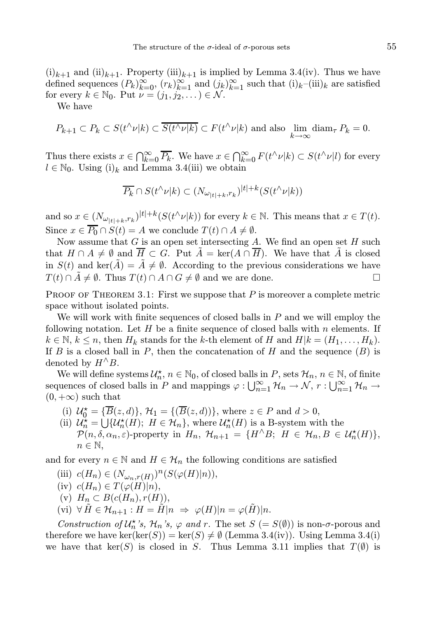$(i)_{k+1}$  and  $(ii)_{k+1}$ . Property  $(iii)_{k+1}$  is implied by Lemma 3.4(iv). Thus we have defined sequences  $(P_k)_{k=0}^{\infty}$ ,  $(r_k)_{k=1}^{\infty}$  and  $(j_k)_{k=1}^{\infty}$  such that  $(i)_k$ –(iii)<sub>k</sub> are satisfied for every  $k \in \mathbb{N}_0$ . Put  $\nu = (j_1, j_2, \dots) \in \mathcal{N}$ .

We have

$$
P_{k+1} \subset P_k \subset S(t^{\wedge}\nu|k) \subset \overline{S(t^{\wedge}\nu|k)} \subset F(t^{\wedge}\nu|k)
$$
 and also  $\lim_{k \to \infty} \text{diam}_{\tau} P_k = 0$ .

Thus there exists  $x \in \bigcap_{k=0}^{\infty} \overline{P_k}$ . We have  $x \in \bigcap_{k=0}^{\infty} F(t^{\wedge} \nu | k) \subset S(t^{\wedge} \nu | l)$  for every  $l \in \mathbb{N}_0$ . Using  $(i)_k$  and Lemma 3.4(iii) we obtain

$$
\overline{P_k} \cap S(t^{\wedge} \nu | k) \subset (N_{\omega_{|t|+k}, r_k})^{|t|+k} (S(t^{\wedge} \nu | k))
$$

and so  $x \in (N_{\omega_{|t|+k},r_k})^{|t|+k} (S(t^{\wedge}\nu|k))$  for every  $k \in \mathbb{N}$ . This means that  $x \in T(t)$ . Since  $x \in \overline{P_0} \cap S(t) = A$  we conclude  $T(t) \cap A \neq \emptyset$ .

Now assume that G is an open set intersecting A. We find an open set H such that  $H \cap A \neq \emptyset$  and  $\overline{H} \subset G$ . Put  $\overline{A} = \text{ker}(A \cap \overline{H})$ . We have that  $\overline{A}$  is closed in  $S(t)$  and ker( $\tilde{A}$ ) =  $\tilde{A} \neq \emptyset$ . According to the previous considerations we have  $T(t) \cap A \neq \emptyset$ . Thus  $T(t) \cap A \cap G \neq \emptyset$  and we are done.

**PROOF OF THEOREM 3.1: First we suppose that P is moreover a complete metric** space without isolated points.

We will work with finite sequences of closed balls in  $P$  and we will employ the following notation. Let H be a finite sequence of closed balls with  $n$  elements. If  $k \in \mathbb{N}, k \leq n$ , then  $H_k$  stands for the k-th element of H and  $H|k = (H_1, \ldots, H_k)$ . If B is a closed ball in P, then the concatenation of H and the sequence  $(B)$  is denoted by  $H^{\wedge}B$ .

We will define systems  $\mathcal{U}_n^{\star}$ ,  $n \in \mathbb{N}_0$ , of closed balls in P, sets  $\mathcal{H}_n$ ,  $n \in \mathbb{N}$ , of finite sequences of closed balls in P and mappings  $\varphi: \bigcup_{n=1}^{\infty} \mathcal{H}_n \to \mathcal{N}, r : \bigcup_{n=1}^{\infty} \mathcal{H}_n \to$  $(0, +\infty)$  such that

- (i)  $\mathcal{U}_0^* = {\{\overline{B}(z,d)\}, \mathcal{H}_1 = {\{\overline{B}(z,d)\}\}\,$ , where  $z \in P$  and  $d > 0$ ,
- (ii)  $\mathcal{U}_n^* = \bigcup \{ \mathcal{U}_n^*(H); H \in \mathcal{H}_n \}, \text{ where } \mathcal{U}_n^*(H) \text{ is a B-system with the }$  $\mathcal{P}(n, \delta, \alpha_n, \varepsilon)$ -property in  $H_n$ ,  $\mathcal{H}_{n+1} = \{H \wedge B; H \in \mathcal{H}_n, B \in \mathcal{U}_n^{\star}(H)\},$  $n \in \mathbb{N}$ ,

and for every  $n \in \mathbb{N}$  and  $H \in \mathcal{H}_n$  the following conditions are satisfied

(iii)  $c(H_n) \in (N_{\omega_n, r(H)})^n(S(\varphi(H)|n)),$ (iv)  $c(H_n) \in T(\varphi(H)|n)$ , (v)  $H_n \subset B(c(H_n), r(H)),$ (vi)  $\forall \tilde{H} \in \mathcal{H}_{n+1} : H = \tilde{H} |n \Rightarrow \varphi(H)| n = \varphi(\tilde{H}) |n$ .

Construction of  $\mathcal{U}_n^*$ 's,  $\mathcal{H}_n$ 's,  $\varphi$  and r. The set  $S (= S(\emptyset))$  is non- $\sigma$ -porous and therefore we have ker(ker(S)) = ker(S)  $\neq \emptyset$  (Lemma 3.4(iv)). Using Lemma 3.4(i) we have that  $\text{ker}(S)$  is closed in S. Thus Lemma 3.11 implies that  $T(\emptyset)$  is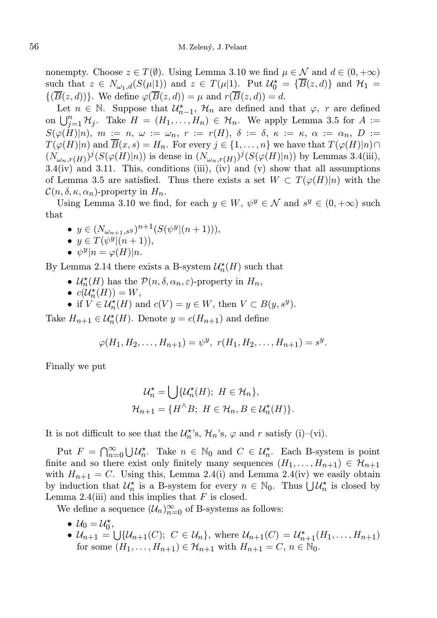nonempty. Choose  $z \in T(\emptyset)$ . Using Lemma 3.10 we find  $\mu \in \mathcal{N}$  and  $d \in (0, +\infty)$ such that  $z \in N_{\omega_1,d}(S(\mu|1))$  and  $z \in T(\mu|1)$ . Put  $\mathcal{U}_0^* = {\overline{B}(z,d)}$  and  $\mathcal{H}_1 =$  $\{(\overline{B}(z, d))\}.$  We define  $\varphi(\overline{B}(z, d)) = \mu$  and  $r(\overline{B}(z, d)) = d$ .

Let  $n \in \mathbb{N}$ . Suppose that  $\mathcal{U}_{n-1}^{\star}$ ,  $\mathcal{H}_n$  are defined and that  $\varphi$ , r are defined on  $\bigcup_{j=1}^n \mathcal{H}_j$ . Take  $H = (H_1, \ldots, H_n) \in \mathcal{H}_n$ . We apply Lemma 3.5 for  $A :=$  $S(\varphi(H)|n)$ ,  $m := n$ ,  $\omega := \omega_n$ ,  $r := r(H)$ ,  $\delta := \delta$ ,  $\kappa := \kappa$ ,  $\alpha := \alpha_n$ ,  $D :=$  $T(\varphi(H)|n)$  and  $\overline{B}(x,s) = H_n$ . For every  $j \in \{1,\ldots,n\}$  we have that  $T(\varphi(H)|n) \cap$  $(N_{\omega_n,r(H)})^j(S(\varphi(H)|n))$  is dense in  $(N_{\omega_n,r(H)})^j(S(\varphi(H)|n))$  by Lemmas 3.4(iii),  $3.4(iv)$  and  $3.11$ . This, conditions (iii), (iv) and (v) show that all assumptions of Lemma 3.5 are satisfied. Thus there exists a set  $W \subset T(\varphi(H)|n)$  with the  $\mathcal{C}(n, \delta, \kappa, \alpha_n)$ -property in  $H_n$ .

Using Lemma 3.10 we find, for each  $y \in W$ ,  $\psi^y \in \mathcal{N}$  and  $s^y \in (0, +\infty)$  such that

•  $y \in (N_{\omega_{n+1},s^y})^{n+1}(S(\psi^y | (n+1))),$ •  $y \in T(\psi^y | (n+1)),$ •  $\psi^y |n = \varphi(H)|n$ .

- By Lemma 2.14 there exists a B-system  $\mathcal{U}^\star_n(H)$  such that
	- $\mathcal{U}_n^{\star}(H)$  has the  $\mathcal{P}(n, \delta, \alpha_n, \varepsilon)$ -property in  $H_n$ ,
	- $c(\mathcal{U}_n^*(H)) = W$ ,
	- if  $V \in \mathcal{U}_n^{\star}(H)$  and  $c(V) = y \in W$ , then  $V \subset B(y, s^y)$ .

Take  $H_{n+1} \in \mathcal{U}_n^{\star}(H)$ . Denote  $y = c(H_{n+1})$  and define

$$
\varphi(H_1, H_2, \dots, H_{n+1}) = \psi^y, \ r(H_1, H_2, \dots, H_{n+1}) = s^y.
$$

Finally we put

$$
\mathcal{U}_n^{\star} = \bigcup \{ \mathcal{U}_n^{\star}(H); \ H \in \mathcal{H}_n \},
$$
  

$$
\mathcal{H}_{n+1} = \{ H^{\wedge} B; \ H \in \mathcal{H}_n, B \in \mathcal{U}_n^{\star}(H) \}.
$$

It is not difficult to see that the  $\mathcal{U}_n^{\star}$ 's,  $\mathcal{H}_n$ 's,  $\varphi$  and  $r$  satisfy (i)–(vi).

Put  $F = \bigcap_{n=0}^{\infty} \bigcup \mathcal{U}_n^{\star}$ . Take  $n \in \mathbb{N}_0$  and  $C \in \mathcal{U}_n^{\star}$ . Each B-system is point finite and so there exist only finitely many sequences  $(H_1, \ldots, H_{n+1}) \in \mathcal{H}_{n+1}$ with  $H_{n+1} = C$ . Using this, Lemma 2.4(i) and Lemma 2.4(iv) we easily obtain by induction that  $\mathcal{U}_n^*$  is a B-system for every  $n \in \mathbb{N}_0$ . Thus  $\bigcup \mathcal{U}_n^*$  is closed by Lemma 2.4(iii) and this implies that  $F$  is closed.

We define a sequence  $(\mathcal{U}_n)_{n=0}^{\infty}$  of B-systems as follows:

- $U_0 = U_0^*$ ,
- $\mathcal{U}_{n+1} = \bigcup \{ \mathcal{U}_{n+1}(C); \ C \in \mathcal{U}_n \}, \text{ where } \mathcal{U}_{n+1}(C) = \mathcal{U}_{n+1}^{\star}(H_1, \ldots, H_{n+1})$ for some  $(H_1, \ldots, H_{n+1}) \in \mathcal{H}_{n+1}$  with  $H_{n+1} = C, n \in \mathbb{N}_0$ .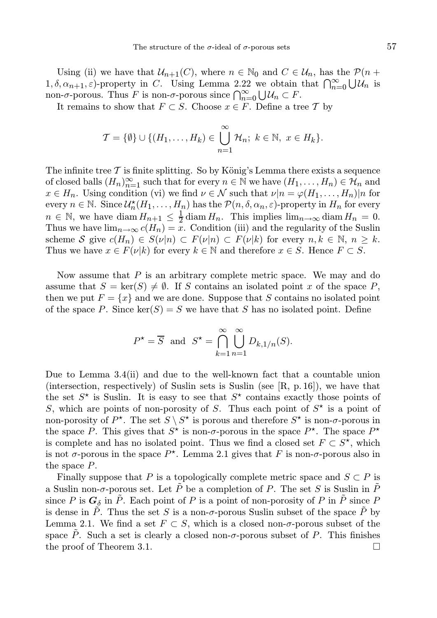Using (ii) we have that  $\mathcal{U}_{n+1}(C)$ , where  $n \in \mathbb{N}_0$  and  $C \in \mathcal{U}_n$ , has the  $\mathcal{P}(n +$  $(1, \delta, \alpha_{n+1}, \varepsilon)$ -property in C. Using Lemma 2.22 we obtain that  $\bigcap_{n=0}^{\infty} \bigcup \mathcal{U}_n$  is non- $\sigma$ -porous. Thus F is non- $\sigma$ -porous since  $\bigcap_{n=0}^{\infty} \bigcup \mathcal{U}_n \subset F$ .

It remains to show that  $F \subset S$ . Choose  $x \in F$ . Define a tree T by

$$
\mathcal{T} = \{\emptyset\} \cup \{(H_1, \ldots, H_k) \in \bigcup_{n=1}^{\infty} \mathcal{H}_n; k \in \mathbb{N}, x \in H_k\}.
$$

The infinite tree  $\mathcal T$  is finite splitting. So by König's Lemma there exists a sequence of closed balls  $(H_n)_{n=1}^{\infty}$  such that for every  $n \in \mathbb{N}$  we have  $(H_1, \ldots, H_n) \in \mathcal{H}_n$  and  $x \in H_n$ . Using condition (vi) we find  $\nu \in \mathcal{N}$  such that  $\nu | n = \varphi(H_1, \ldots, H_n) | n$  for every  $n \in \mathbb{N}$ . Since  $\mathcal{U}_n^{\star}(H_1, \ldots, H_n)$  has the  $\mathcal{P}(n, \delta, \alpha_n, \varepsilon)$ -property in  $H_n$  for every  $n \in \mathbb{N}$ , we have diam  $H_{n+1} \leq \frac{1}{2} \operatorname{diam} H_n$ . This implies  $\lim_{n \to \infty} \operatorname{diam} H_n = 0$ . Thus we have  $\lim_{n\to\infty} c(H_n) = \overline{x}$ . Condition (iii) and the regularity of the Suslin scheme S give  $c(H_n) \in S(\nu|n) \subset F(\nu|n) \subset F(\nu|k)$  for every  $n, k \in \mathbb{N}, n \geq k$ . Thus we have  $x \in F(\nu|k)$  for every  $k \in \mathbb{N}$  and therefore  $x \in S$ . Hence  $F \subset S$ .

Now assume that  $P$  is an arbitrary complete metric space. We may and do assume that  $S = \text{ker}(S) \neq \emptyset$ . If S contains an isolated point x of the space P, then we put  $F = \{x\}$  and we are done. Suppose that S contains no isolated point of the space P. Since  $\ker(S) = S$  we have that S has no isolated point. Define

$$
P^* = \overline{S} \text{ and } S^* = \bigcap_{k=1}^{\infty} \bigcup_{n=1}^{\infty} D_{k,1/n}(S).
$$

Due to Lemma 3.4(ii) and due to the well-known fact that a countable union (intersection, respectively) of Suslin sets is Suslin (see  $[R, p. 16]$ ), we have that the set  $S^*$  is Suslin. It is easy to see that  $S^*$  contains exactly those points of S, which are points of non-porosity of S. Thus each point of  $S^*$  is a point of non-porosity of  $P^*$ . The set  $S \setminus S^*$  is porous and therefore  $S^*$  is non- $\sigma$ -porous in the space P. This gives that  $S^*$  is non- $\sigma$ -porous in the space  $P^*$ . The space  $P^*$ is complete and has no isolated point. Thus we find a closed set  $F \subset S^*$ , which is not  $\sigma$ -porous in the space  $P^*$ . Lemma 2.1 gives that F is non- $\sigma$ -porous also in the space P.

Finally suppose that P is a topologically complete metric space and  $S \subset P$  is a Suslin non- $\sigma$ -porous set. Let  $\tilde{P}$  be a completion of P. The set S is Suslin in  $\tilde{P}$ since P is  $G_{\delta}$  in  $\tilde{P}$ . Each point of P is a point of non-porosity of P in  $\tilde{P}$  since P is dense in  $\tilde{P}$ . Thus the set S is a non- $\sigma$ -porous Suslin subset of the space  $\tilde{P}$  by Lemma 2.1. We find a set  $F \subset S$ , which is a closed non- $\sigma$ -porous subset of the space  $\tilde{P}$ . Such a set is clearly a closed non- $\sigma$ -porous subset of P. This finishes the proof of Theorem 3.1.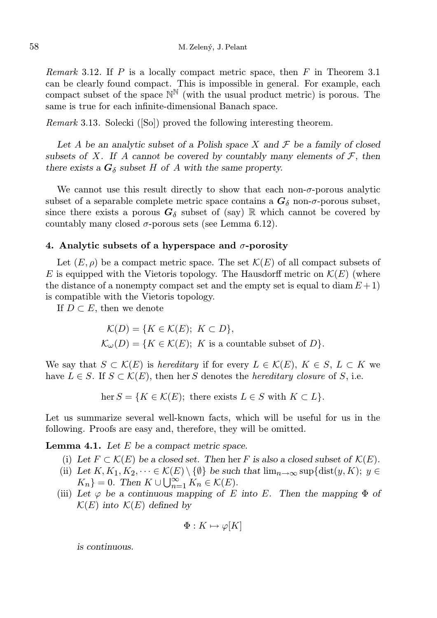Remark 3.12. If P is a locally compact metric space, then  $F$  in Theorem 3.1 can be clearly found compact. This is impossible in general. For example, each compact subset of the space  $\mathbb{N}^{\mathbb{N}}$  (with the usual product metric) is porous. The same is true for each infinite-dimensional Banach space.

Remark 3.13. Solecki ([So]) proved the following interesting theorem.

Let A be an analytic subset of a Polish space X and  $\mathcal F$  be a family of closed subsets of X. If A cannot be covered by countably many elements of  $\mathcal{F}$ , then there exists a  $G_{\delta}$  subset H of A with the same property.

We cannot use this result directly to show that each non- $\sigma$ -porous analytic subset of a separable complete metric space contains a  $G_{\delta}$  non- $\sigma$ -porous subset, since there exists a porous  $G_{\delta}$  subset of (say) R which cannot be covered by countably many closed  $\sigma$ -porous sets (see Lemma 6.12).

#### 4. Analytic subsets of a hyperspace and  $\sigma$ -porosity

Let  $(E, \rho)$  be a compact metric space. The set  $\mathcal{K}(E)$  of all compact subsets of E is equipped with the Vietoris topology. The Hausdorff metric on  $\mathcal{K}(E)$  (where the distance of a nonempty compact set and the empty set is equal to diam  $E + 1$ ) is compatible with the Vietoris topology.

If  $D \subset E$ , then we denote

$$
\mathcal{K}(D) = \{ K \in \mathcal{K}(E); \ K \subset D \},
$$
  

$$
\mathcal{K}_{\omega}(D) = \{ K \in \mathcal{K}(E); \ K \text{ is a countable subset of } D \}.
$$

We say that  $S \subset \mathcal{K}(E)$  is hereditary if for every  $L \in \mathcal{K}(E)$ ,  $K \in S$ ,  $L \subset K$  we have  $L \in S$ . If  $S \subset \mathcal{K}(E)$ , then her S denotes the *hereditary closure* of S, i.e.

$$
\text{her } S = \{ K \in \mathcal{K}(E) ; \text{ there exists } L \in S \text{ with } K \subset L \}.
$$

Let us summarize several well-known facts, which will be useful for us in the following. Proofs are easy and, therefore, they will be omitted.

**Lemma 4.1.** Let  $E$  be a compact metric space.

- (i) Let  $F \subset \mathcal{K}(E)$  be a closed set. Then her F is also a closed subset of  $\mathcal{K}(E)$ .
- (ii) Let  $K, K_1, K_2, \dots \in \mathcal{K}(E) \setminus \{\emptyset\}$  be such that  $\lim_{n \to \infty} \sup \{\text{dist}(y, K); y \in$  $K_n$ } = 0. Then  $K \cup \bigcup_{n=1}^{\infty} K_n \in \mathcal{K}(E)$ .
- (iii) Let  $\varphi$  be a continuous mapping of E into E. Then the mapping  $\Phi$  of  $\mathcal{K}(E)$  into  $\mathcal{K}(E)$  defined by

$$
\Phi: K \mapsto \varphi[K]
$$

is continuous.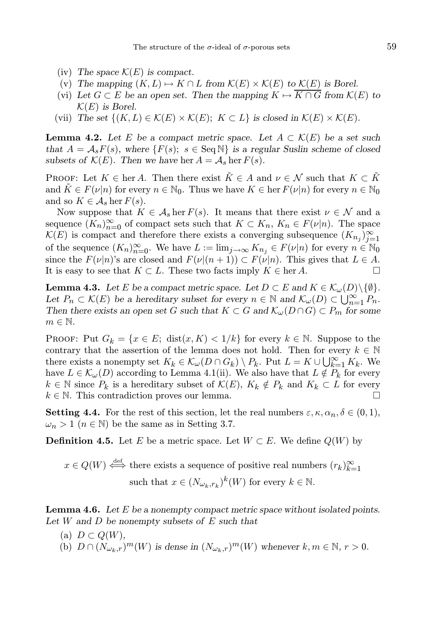- (iv) The space  $\mathcal{K}(E)$  is compact.
- (v) The mapping  $(K, L) \mapsto K \cap L$  from  $\mathcal{K}(E) \times \mathcal{K}(E)$  to  $\mathcal{K}(E)$  is Borel.
- (vi) Let  $G \subset E$  be an open set. Then the mapping  $K \mapsto \overline{K \cap G}$  from  $\mathcal{K}(E)$  to  $\mathcal{K}(E)$  is Borel.
- (vii) The set  $\{(K, L) \in \mathcal{K}(E) \times \mathcal{K}(E); K \subset L\}$  is closed in  $\mathcal{K}(E) \times \mathcal{K}(E)$ .

**Lemma 4.2.** Let E be a compact metric space. Let  $A \subset \mathcal{K}(E)$  be a set such that  $A = A_s F(s)$ , where  $\{F(s); s \in \text{Seq N}\}\$  is a regular Suslin scheme of closed subsets of  $\mathcal{K}(E)$ . Then we have her  $A = \mathcal{A}_s$  her  $F(s)$ .

PROOF: Let  $K \in \text{her } A$ . Then there exist  $\tilde{K} \in A$  and  $\nu \in \mathcal{N}$  such that  $K \subset \tilde{K}$ and  $\tilde{K} \in F(\nu|n)$  for every  $n \in \mathbb{N}_0$ . Thus we have  $K \in \text{her } F(\nu|n)$  for every  $n \in \mathbb{N}_0$ and so  $K \in \mathcal{A}_s$  her  $F(s)$ .

Now suppose that  $K \in \mathcal{A}_s$  her  $F(s)$ . It means that there exist  $\nu \in \mathcal{N}$  and a sequence  $(K_n)_{n=0}^{\infty}$  of compact sets such that  $K \subset K_n$ ,  $K_n \in F(\nu|n)$ . The space  $\mathcal{K}(E)$  is compact and therefore there exists a converging subsequence  $(K_{n_j})_{j=1}^{\infty}$ of the sequence  $(K_n)_{n=0}^{\infty}$ . We have  $L := \lim_{j \to \infty} K_{n_j} \in F(\nu|n)$  for every  $n \in \mathbb{N}_0$ since the  $F(\nu|n)$ 's are closed and  $F(\nu|(n+1)) \subset F(\nu|n)$ . This gives that  $L \in A$ . It is easy to see that  $K \subset L$ . These two facts imply  $K \in \text{her } A$ .

**Lemma 4.3.** Let E be a compact metric space. Let  $D \subset E$  and  $K \in \mathcal{K}_{\omega}(D) \setminus \{\emptyset\}.$ Let  $P_n \subset \mathcal{K}(E)$  be a hereditary subset for every  $n \in \mathbb{N}$  and  $\mathcal{K}_{\omega}(D) \subset \bigcup_{n=1}^{\infty} P_n$ . Then there exists an open set G such that  $K \subset G$  and  $\mathcal{K}_{\omega}(D \cap G) \subset P_m$  for some  $m \in \mathbb{N}$ .

PROOF: Put  $G_k = \{x \in E; \text{ dist}(x, K) < 1/k\}$  for every  $k \in \mathbb{N}$ . Suppose to the contrary that the assertion of the lemma does not hold. Then for every  $k \in \mathbb{N}$ there exists a nonempty set  $K_k \in \mathcal{K}_{\omega}(D \cap G_k) \setminus P_k$ . Put  $L = K \cup \bigcup_{k=1}^{\infty} K_k$ . We have  $L \in \mathcal{K}_{\omega}(D)$  according to Lemma 4.1(ii). We also have that  $L \notin P_k$  for every  $k \in \mathbb{N}$  since  $P_k$  is a hereditary subset of  $\mathcal{K}(E)$ ,  $K_k \notin P_k$  and  $K_k \subset L$  for every  $k \in \mathbb{N}$ . This contradiction proves our lemma.

**Setting 4.4.** For the rest of this section, let the real numbers  $\varepsilon, \kappa, \alpha_n, \delta \in (0, 1)$ ,  $\omega_n > 1$   $(n \in \mathbb{N})$  be the same as in Setting 3.7.

**Definition 4.5.** Let E be a metric space. Let  $W \subset E$ . We define  $Q(W)$  by

 $x \in Q(W) \stackrel{\text{def}}{\iff}$  there exists a sequence of positive real numbers  $(r_k)_{k=1}^{\infty}$ such that  $x \in (N_{\omega_k, r_k})^k(W)$  for every  $k \in \mathbb{N}$ .

**Lemma 4.6.** Let E be a nonempty compact metric space without isolated points. Let  $W$  and  $D$  be nonempty subsets of  $E$  such that

(a)  $D \subset Q(W)$ , (b)  $D \cap (N_{\omega_k,r})^m(W)$  is dense in  $(N_{\omega_k,r})^m(W)$  whenever  $k, m \in \mathbb{N}, r > 0$ .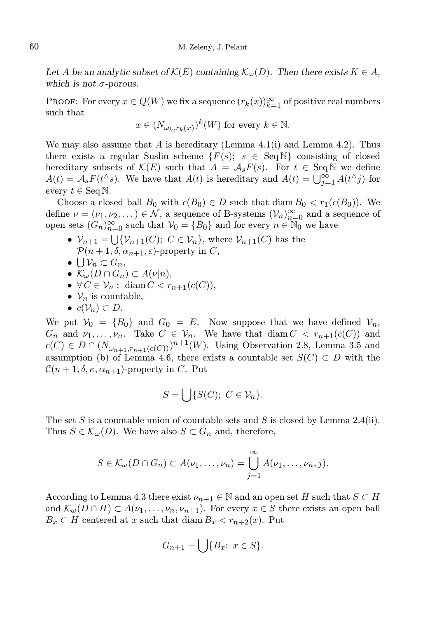Let A be an analytic subset of  $\mathcal{K}(E)$  containing  $\mathcal{K}_{\omega}(D)$ . Then there exists  $K \in A$ , which is not  $\sigma$ -porous.

PROOF: For every  $x \in Q(W)$  we fix a sequence  $(r_k(x))_{k=1}^{\infty}$  of positive real numbers such that

$$
x \in (N_{\omega_k, r_k(x)})^k(W) \text{ for every } k \in \mathbb{N}.
$$

We may also assume that A is hereditary (Lemma 4.1(i) and Lemma 4.2). Thus there exists a regular Suslin scheme  $\{F(s); s \in \text{Seq N}\}\)$  consisting of closed hereditary subsets of  $\mathcal{K}(E)$  such that  $A = \mathcal{A}_s F(s)$ . For  $t \in \text{Seq N}$  we define  $A(t) = \mathcal{A}_s F(t^{\wedge} s)$ . We have that  $A(t)$  is hereditary and  $A(t) = \bigcup_{j=1}^{\infty} A(t^{\wedge} j)$  for every  $t \in \text{Seq N}$ .

Choose a closed ball  $B_0$  with  $c(B_0) \in D$  such that diam  $B_0 < r_1(c(B_0))$ . We define  $\nu = (\nu_1, \nu_2, \dots) \in \mathcal{N}$ , a sequence of B-systems  $(\mathcal{V}_n)_{n=0}^{\infty}$  and a sequence of open sets  $(G_n)_{n=0}^{\infty}$  such that  $V_0 = \{B_0\}$  and for every  $n \in \mathbb{N}_0$  we have

- $\mathcal{V}_{n+1} = \bigcup \{ \mathcal{V}_{n+1}(C); C \in \mathcal{V}_n \}$ , where  $\mathcal{V}_{n+1}(C)$  has the  $\mathcal{P}(n+1,\delta,\alpha_{n+1},\varepsilon)$ -property in C,
- $\bigcup \mathcal{V}_n \subset G_n,$
- $\mathcal{K}_{\omega}(D \cap G_n) \subset A(\nu|n),$
- $\forall C \in \mathcal{V}_n: \text{diam } C < r_{n+1}(c(C)),$
- $V_n$  is countable,
- $c(\mathcal{V}_n) \subset D$ .

We put  $V_0 = \{B_0\}$  and  $G_0 = E$ . Now suppose that we have defined  $V_n$ ,  $G_n$  and  $\nu_1, \ldots, \nu_n$ . Take  $C \in \mathcal{V}_n$ . We have that  $\text{diam}\, C \, \leq \, r_{n+1}(c(C))$  and  $c(C) \in D \cap (N_{\omega_{n+1}, r_{n+1}(c(C)))^{n+1}(W)$ . Using Observation 2.8, Lemma 3.5 and assumption (b) of Lemma 4.6, there exists a countable set  $S(C) \subset D$  with the  $\mathcal{C}(n+1,\delta,\kappa,\alpha_{n+1})$ -property in C. Put

$$
S = \bigcup \{ S(C); \ C \in \mathcal{V}_n \}.
$$

The set S is a countable union of countable sets and S is closed by Lemma 2.4(ii). Thus  $S \in \mathcal{K}_{\omega}(D)$ . We have also  $S \subset G_n$  and, therefore,

$$
S \in \mathcal{K}_{\omega}(D \cap G_n) \subset A(\nu_1,\ldots,\nu_n) = \bigcup_{j=1}^{\infty} A(\nu_1,\ldots,\nu_n,j).
$$

According to Lemma 4.3 there exist  $\nu_{n+1} \in \mathbb{N}$  and an open set H such that  $S \subset H$ and  $\mathcal{K}_{\omega}(D \cap H) \subset A(\nu_1, \ldots, \nu_n, \nu_{n+1})$ . For every  $x \in S$  there exists an open ball  $B_x \subset H$  centered at x such that diam  $B_x < r_{n+2}(x)$ . Put

$$
G_{n+1} = \bigcup \{ B_x; \ x \in S \}.
$$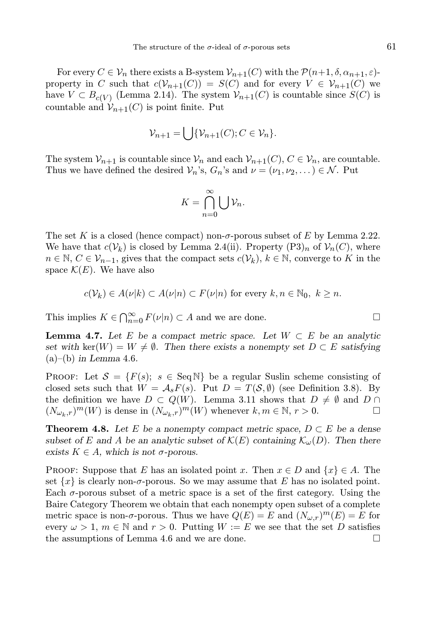For every  $C \in \mathcal{V}_n$  there exists a B-system  $\mathcal{V}_{n+1}(C)$  with the  $\mathcal{P}(n+1, \delta, \alpha_{n+1}, \varepsilon)$ property in C such that  $c(V_{n+1}(C)) = S(C)$  and for every  $V \in V_{n+1}(C)$  we have  $V \subset B_{c(V)}$  (Lemma 2.14). The system  $V_{n+1}(C)$  is countable since  $S(C)$  is countable and  $V_{n+1}(C)$  is point finite. Put

$$
\mathcal{V}_{n+1} = \bigcup \{ \mathcal{V}_{n+1}(C); C \in \mathcal{V}_n \}.
$$

The system  $\mathcal{V}_{n+1}$  is countable since  $\mathcal{V}_n$  and each  $\mathcal{V}_{n+1}(C), C \in \mathcal{V}_n$ , are countable. Thus we have defined the desired  $V_n$ 's,  $G_n$ 's and  $\nu = (\nu_1, \nu_2, \dots) \in \mathcal{N}$ . Put

$$
K=\bigcap_{n=0}^{\infty}\bigcup\mathcal{V}_n.
$$

The set K is a closed (hence compact) non- $\sigma$ -porous subset of E by Lemma 2.22. We have that  $c(\mathcal{V}_k)$  is closed by Lemma 2.4(ii). Property  $(P3)_n$  of  $\mathcal{V}_n(C)$ , where  $n \in \mathbb{N}, C \in \mathcal{V}_{n-1}$ , gives that the compact sets  $c(\mathcal{V}_k)$ ,  $k \in \mathbb{N}$ , converge to K in the space  $\mathcal{K}(E)$ . We have also

$$
c(\mathcal{V}_k) \in A(\nu|k) \subset A(\nu|n) \subset F(\nu|n) \text{ for every } k, n \in \mathbb{N}_0, k \ge n.
$$

This implies  $K \in \bigcap_{n=0}^{\infty} F(\nu|n) \subset A$  and we are done.

**Lemma 4.7.** Let E be a compact metric space. Let  $W \subset E$  be an analytic set with ker(W) =  $W \neq \emptyset$ . Then there exists a nonempty set  $D \subset E$  satisfying  $(a)$ – $(b)$  in Lemma 4.6.

**PROOF:** Let  $\mathcal{S} = \{F(s); s \in \text{Seq}\,\mathbb{N}\}\$ be a regular Suslin scheme consisting of closed sets such that  $W = A_s F(s)$ . Put  $D = T(S, \emptyset)$  (see Definition 3.8). By the definition we have  $D \subset Q(W)$ . Lemma 3.11 shows that  $D \neq \emptyset$  and  $D \cap$  $(N_{\omega_k,r})^m(W)$  is dense in  $(N_{\omega_k,r})^m(W)$  whenever  $k, m \in \mathbb{N}, r > 0$ .

**Theorem 4.8.** Let E be a nonempty compact metric space,  $D \subset E$  be a dense subset of E and A be an analytic subset of  $\mathcal{K}(E)$  containing  $\mathcal{K}_{\omega}(D)$ . Then there exists  $K \in A$ , which is not  $\sigma$ -porous.

PROOF: Suppose that E has an isolated point x. Then  $x \in D$  and  $\{x\} \in A$ . The set  $\{x\}$  is clearly non- $\sigma$ -porous. So we may assume that E has no isolated point. Each  $\sigma$ -porous subset of a metric space is a set of the first category. Using the Baire Category Theorem we obtain that each nonempty open subset of a complete metric space is non- $\sigma$ -porous. Thus we have  $Q(E) = E$  and  $(N_{\omega,r})^m(E) = E$  for every  $\omega > 1$ ,  $m \in \mathbb{N}$  and  $r > 0$ . Putting  $W := E$  we see that the set D satisfies the assumptions of Lemma 4.6 and we are done.  $\Box$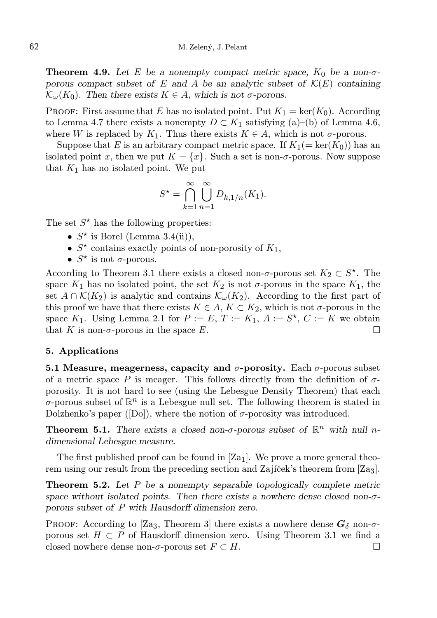**Theorem 4.9.** Let E be a nonempty compact metric space,  $K_0$  be a non- $\sigma$ porous compact subset of E and A be an analytic subset of  $\mathcal{K}(E)$  containing  $\mathcal{K}_{\omega}(K_0)$ . Then there exists  $K \in A$ , which is not  $\sigma$ -porous.

PROOF: First assume that E has no isolated point. Put  $K_1 = \text{ker}(K_0)$ . According to Lemma 4.7 there exists a nonempty  $D \subset K_1$  satisfying (a)–(b) of Lemma 4.6, where W is replaced by  $K_1$ . Thus there exists  $K \in A$ , which is not  $\sigma$ -porous.

Suppose that E is an arbitrary compact metric space. If  $K_1(=\ker(K_0))$  has an isolated point x, then we put  $K = \{x\}$ . Such a set is non- $\sigma$ -porous. Now suppose that  $K_1$  has no isolated point. We put

$$
S^* = \bigcap_{k=1}^{\infty} \bigcup_{n=1}^{\infty} D_{k,1/n}(K_1).
$$

The set  $S^*$  has the following properties:

- $S^*$  is Borel (Lemma 3.4(ii)),
- $S^*$  contains exactly points of non-porosity of  $K_1$ ,
- $S^*$  is not  $\sigma$ -porous.

According to Theorem 3.1 there exists a closed non- $\sigma$ -porous set  $K_2 \subset S^*$ . The space  $K_1$  has no isolated point, the set  $K_2$  is not  $\sigma$ -porous in the space  $K_1$ , the set  $A \cap \mathcal{K}(K_2)$  is analytic and contains  $\mathcal{K}_{\omega}(K_2)$ . According to the first part of this proof we have that there exists  $K \in A$ ,  $K \subset K_2$ , which is not  $\sigma$ -porous in the space  $K_1$ . Using Lemma 2.1 for  $P := E, T := K_1, A := S^*$ ,  $C := K$  we obtain that K is non- $\sigma$ -porous in the space E.

### 5. Applications

5.1 Measure, meagerness, capacity and  $\sigma$ -porosity. Each  $\sigma$ -porous subset of a metric space P is meager. This follows directly from the definition of  $\sigma$ porosity. It is not hard to see (using the Lebesgue Density Theorem) that each  $\sigma$ -porous subset of  $\mathbb{R}^n$  is a Lebesgue null set. The following theorem is stated in Dolzhenko's paper ( $[D_0]$ ), where the notion of  $\sigma$ -porosity was introduced.

**Theorem 5.1.** There exists a closed non- $\sigma$ -porous subset of  $\mathbb{R}^n$  with null ndimensional Lebesgue measure.

The first published proof can be found in  $[Za_1]$ . We prove a more general theorem using our result from the preceding section and Zajíček's theorem from  $[Z<sub>3</sub>]$ .

**Theorem 5.2.** Let  $P$  be a nonempty separable topologically complete metric space without isolated points. Then there exists a nowhere dense closed non- $\sigma$ porous subset of P with Hausdorff dimension zero.

PROOF: According to [Za3, Theorem 3] there exists a nowhere dense  $G_{\delta}$  non- $\sigma$ porous set  $H \subset P$  of Hausdorff dimension zero. Using Theorem 3.1 we find a closed nowhere dense non- $\sigma$ -porous set  $F \subset H$ .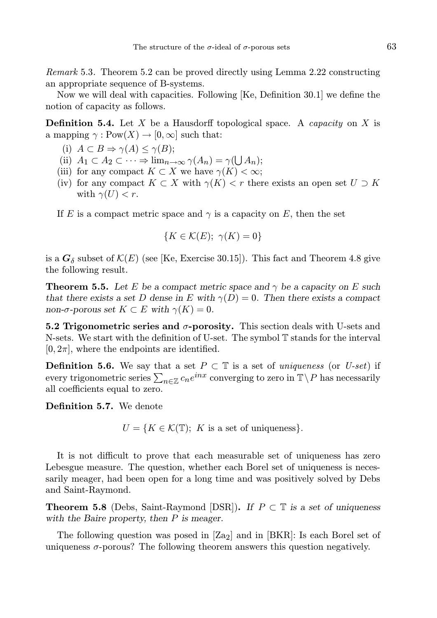Remark 5.3. Theorem 5.2 can be proved directly using Lemma 2.22 constructing an appropriate sequence of B-systems.

Now we will deal with capacities. Following [Ke, Definition 30.1] we define the notion of capacity as follows.

**Definition 5.4.** Let X be a Hausdorff topological space. A *capacity* on X is a mapping  $\gamma: \text{Pow}(X) \to [0, \infty]$  such that:

- (i)  $A \subset B \Rightarrow \gamma(A) \leq \gamma(B);$
- (ii)  $A_1 \subset A_2 \subset \cdots \Rightarrow \lim_{n \to \infty} \gamma(A_n) = \gamma(\bigcup A_n);$
- (iii) for any compact  $K \subset X$  we have  $\gamma(K) < \infty$ ;
- (iv) for any compact  $K \subset X$  with  $\gamma(K) < r$  there exists an open set  $U \supset K$ with  $\gamma(U) < r$ .

If E is a compact metric space and  $\gamma$  is a capacity on E, then the set

$$
\{K \in \mathcal{K}(E); \ \gamma(K) = 0\}
$$

is a  $G_{\delta}$  subset of  $\mathcal{K}(E)$  (see [Ke, Exercise 30.15]). This fact and Theorem 4.8 give the following result.

**Theorem 5.5.** Let E be a compact metric space and  $\gamma$  be a capacity on E such that there exists a set D dense in E with  $\gamma(D) = 0$ . Then there exists a compact non- $\sigma$ -porous set  $K \subset E$  with  $\gamma(K) = 0$ .

5.2 Trigonometric series and  $\sigma$ -porosity. This section deals with U-sets and N-sets. We start with the definition of U-set. The symbol T stands for the interval  $[0, 2\pi]$ , where the endpoints are identified.

**Definition 5.6.** We say that a set  $P \subset \mathbb{T}$  is a set of uniqueness (or U-set) if every trigonometric series  $\sum_{n\in\mathbb{Z}}c_ne^{inx}$  converging to zero in  $\mathbb{T}\setminus P$  has necessarily all coefficients equal to zero.

Definition 5.7. We denote

 $U = \{K \in \mathcal{K}(\mathbb{T}); K \text{ is a set of uniqueness}\}.$ 

It is not difficult to prove that each measurable set of uniqueness has zero Lebesgue measure. The question, whether each Borel set of uniqueness is necessarily meager, had been open for a long time and was positively solved by Debs and Saint-Raymond.

**Theorem 5.8** (Debs, Saint-Raymond [DSR]). If  $P \subset \mathbb{T}$  is a set of uniqueness with the Baire property, then  $P$  is meager.

The following question was posed in [Za<sub>2</sub>] and in [BKR]: Is each Borel set of uniqueness  $\sigma$ -porous? The following theorem answers this question negatively.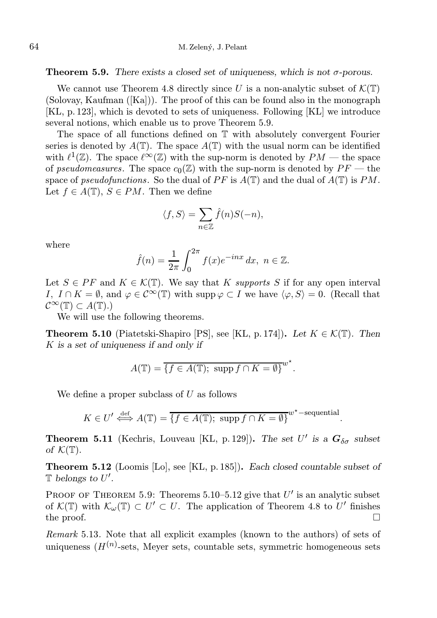**Theorem 5.9.** There exists a closed set of uniqueness, which is not  $\sigma$ -porous.

We cannot use Theorem 4.8 directly since U is a non-analytic subset of  $\mathcal{K}(\mathbb{T})$ (Solovay, Kaufman  $([Ka])$ ). The proof of this can be found also in the monograph [KL, p. 123], which is devoted to sets of uniqueness. Following [KL] we introduce several notions, which enable us to prove Theorem 5.9.

The space of all functions defined on T with absolutely convergent Fourier series is denoted by  $A(\mathbb{T})$ . The space  $A(\mathbb{T})$  with the usual norm can be identified with  $\ell^1(\mathbb{Z})$ . The space  $\ell^{\infty}(\mathbb{Z})$  with the sup-norm is denoted by  $PM$  — the space of pseudomeasures. The space  $c_0(\mathbb{Z})$  with the sup-norm is denoted by  $PF$  — the space of pseudofunctions. So the dual of PF is  $A(\mathbb{T})$  and the dual of  $A(\mathbb{T})$  is PM. Let  $f \in A(\mathbb{T})$ ,  $S \in PM$ . Then we define

$$
\langle f, S \rangle = \sum_{n \in \mathbb{Z}} \hat{f}(n) S(-n),
$$

where

$$
\hat{f}(n) = \frac{1}{2\pi} \int_0^{2\pi} f(x)e^{-inx} dx, \ n \in \mathbb{Z}.
$$

Let  $S \in PF$  and  $K \in \mathcal{K}(\mathbb{T})$ . We say that K supports S if for any open interval I,  $I \cap K = \emptyset$ , and  $\varphi \in C^{\infty}(\mathbb{T})$  with supp  $\varphi \subset I$  we have  $\langle \varphi, S \rangle = 0$ . (Recall that  $\mathcal{C}^{\infty}(\mathbb{T}) \subset A(\mathbb{T}).$ 

We will use the following theorems.

**Theorem 5.10** (Piatetski-Shapiro [PS], see [KL, p. 174]). Let  $K \in \mathcal{K}(\mathbb{T})$ . Then K is a set of uniqueness if and only if

$$
A(\mathbb{T}) = \overline{\{f \in A(\mathbb{T}); \text{ supp } f \cap K = \emptyset\}}^{w^*}.
$$

We define a proper subclass of  $U$  as follows

$$
K \in U' \stackrel{\text{def}}{\iff} A(\mathbb{T}) = \overline{\{f \in A(\mathbb{T}); \text{ supp } f \cap K = \emptyset\}}^{w^*-\text{sequential}}.
$$

**Theorem 5.11** (Kechris, Louveau [KL, p. 129]). The set U' is a  $G_{\delta\sigma}$  subset of  $\mathcal{K}(\mathbb{T})$ .

Theorem 5.12 (Loomis [Lo], see [KL, p. 185]). Each closed countable subset of  $\mathbb T$  belongs to  $U'.$ 

PROOF OF THEOREM 5.9: Theorems 5.10–5.12 give that  $U'$  is an analytic subset of  $\mathcal{K}(\mathbb{T})$  with  $\mathcal{K}_{\omega}(\mathbb{T}) \subset U' \subset U$ . The application of Theorem 4.8 to U' finishes the proof.  $\Box$ 

Remark 5.13. Note that all explicit examples (known to the authors) of sets of uniqueness  $(H^{(n)}\text{-sets}, \text{ Meyer sets}, \text{countable sets}, \text{ symmetric homogeneous sets})$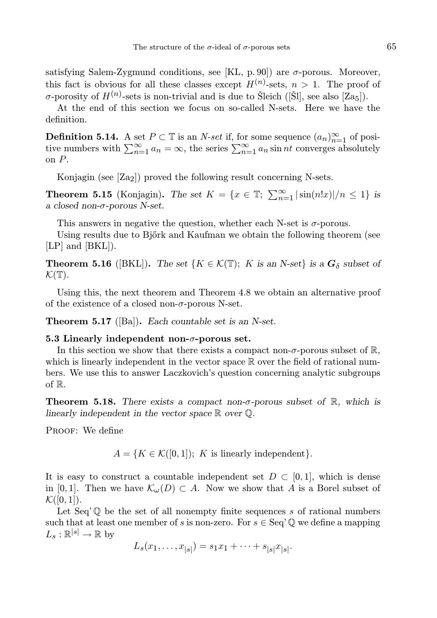satisfying Salem-Zygmund conditions, see [KL, p. 90]) are  $\sigma$ -porous. Moreover, this fact is obvious for all these classes except  $H^{(n)}$ -sets,  $n > 1$ . The proof of  $\sigma$ -porosity of  $H^{(n)}$ -sets is non-trivial and is due to Šleich ([Šl], see also [Za<sub>5</sub>]).

At the end of this section we focus on so-called N-sets. Here we have the definition.

**Definition 5.14.** A set  $P \subset \mathbb{T}$  is an *N-set* if, for some sequence  $(a_n)_{n=1}^{\infty}$  of positive numbers with  $\sum_{n=1}^{\infty} a_n = \infty$ , the series  $\sum_{n=1}^{\infty} a_n \sin nt$  converges absolutely on P.

Konjagin (see  $[Za_2]$ ) proved the following result concerning N-sets.

**Theorem 5.15** (Konjagin). The set  $K = \{x \in \mathbb{T}; \sum_{n=1}^{\infty} |\sin(n!x)|/n \leq 1\}$  is a closed non-σ-porous N-set.

This answers in negative the question, whether each N-set is  $\sigma$ -porous.

Using results due to Bjőrk and Kaufman we obtain the following theorem (see [LP] and [BKL]).

**Theorem 5.16** ([BKL]). The set  $\{K \in \mathcal{K}(\mathbb{T}); K \text{ is an } N\text{-set}\}$  is a  $G_{\delta}$  subset of  $\mathcal{K}(\mathbb{T}).$ 

Using this, the next theorem and Theorem 4.8 we obtain an alternative proof of the existence of a closed non- $\sigma$ -porous N-set.

**Theorem 5.17** ([Ba]). Each countable set is an N-set.

#### 5.3 Linearly independent non- $\sigma$ -porous set.

In this section we show that there exists a compact non- $\sigma$ -porous subset of R, which is linearly independent in the vector space  $\mathbb R$  over the field of rational numbers. We use this to answer Laczkovich's question concerning analytic subgroups of R.

**Theorem 5.18.** There exists a compact non- $\sigma$ -porous subset of  $\mathbb{R}$ , which is linearly independent in the vector space  $\mathbb R$  over  $\mathbb Q$ .

PROOF: We define

 $A = \{K \in \mathcal{K}([0,1]); K \text{ is linearly independent}\}.$ 

It is easy to construct a countable independent set  $D \subset [0,1]$ , which is dense in [0,1]. Then we have  $\mathcal{K}_{\omega}(D) \subset A$ . Now we show that A is a Borel subset of  $\mathcal{K}([0,1]).$ 

Let Seq'  $\mathbb Q$  be the set of all nonempty finite sequences s of rational numbers such that at least one member of s is non-zero. For  $s \in \text{Seq'} \mathbb{Q}$  we define a mapping  $L_s : \mathbb{R}^{|s|} \to \mathbb{R}$  by

$$
L_s(x_1, \ldots, x_{|s|}) = s_1 x_1 + \cdots + s_{|s|} x_{|s|}.
$$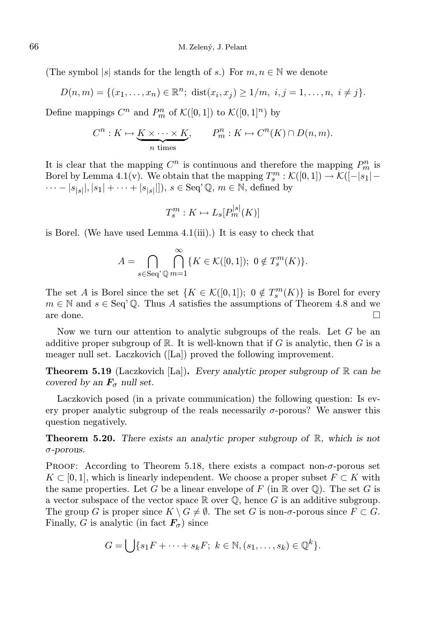(The symbol |s| stands for the length of s.) For  $m, n \in \mathbb{N}$  we denote

$$
D(n,m) = \{(x_1, \ldots, x_n) \in \mathbb{R}^n; \; dist(x_i, x_j) \ge 1/m, \; i, j = 1, \ldots, n, \; i \ne j\}.
$$

Define mappings  $C^n$  and  $P_m^n$  of  $\mathcal{K}([0,1])$  to  $\mathcal{K}([0,1]^n)$  by

$$
C^n: K \mapsto \underbrace{K \times \cdots \times K}_{n \text{ times}}, \qquad P^n_m: K \mapsto C^n(K) \cap D(n, m).
$$

It is clear that the mapping  $C^n$  is continuous and therefore the mapping  $P_m^n$  is Borel by Lemma 4.1(v). We obtain that the mapping  $T_s^m : \mathcal{K}([0,1]) \to \mathcal{K}([-s_1] \cdots - |s_{|s|}|, |s_1| + \cdots + |s_{|s|}||, s \in \text{Seq'}\mathbb{Q}, m \in \mathbb{N}, \text{ defined by}$ 

$$
T_s^m: K \mapsto L_s[P_m^{|s|}(K)]
$$

is Borel. (We have used Lemma 4.1(iii).) It is easy to check that

$$
A = \bigcap_{s \in \text{Seq}^{\times}} \bigcap_{\mathbb{Q}} \{ K \in \mathcal{K}([0,1]); \ 0 \notin T_s^m(K) \}.
$$

The set A is Borel since the set  $\{K \in \mathcal{K}([0,1]); 0 \notin T_s^m(K)\}\)$  is Borel for every  $m \in \mathbb{N}$  and  $s \in \text{Seq'}\mathbb{Q}$ . Thus A satisfies the assumptions of Theorem 4.8 and we are done.  $\Box$ 

Now we turn our attention to analytic subgroups of the reals. Let G be an additive proper subgroup of  $\mathbb R$ . It is well-known that if G is analytic, then G is a meager null set. Laczkovich ([La]) proved the following improvement.

**Theorem 5.19** (Laczkovich [La]). Every analytic proper subgroup of  $\mathbb{R}$  can be covered by an  $\mathbf{F}_{\sigma}$  null set.

Laczkovich posed (in a private communication) the following question: Is every proper analytic subgroup of the reals necessarily  $\sigma$ -porous? We answer this question negatively.

**Theorem 5.20.** There exists an analytic proper subgroup of  $\mathbb{R}$ , which is not σ-porous.

PROOF: According to Theorem 5.18, there exists a compact non- $\sigma$ -porous set  $K \subset [0, 1]$ , which is linearly independent. We choose a proper subset  $F \subset K$  with the same properties. Let G be a linear envelope of F (in  $\mathbb R$  over  $\mathbb Q$ ). The set G is a vector subspace of the vector space  $\mathbb R$  over  $\mathbb Q$ , hence G is an additive subgroup. The group G is proper since  $K \setminus G \neq \emptyset$ . The set G is non- $\sigma$ -porous since  $F \subset G$ . Finally, G is analytic (in fact  $\mathbf{F}_{\sigma}$ ) since

$$
G = \bigcup \{ s_1 F + \cdots + s_k F; \ k \in \mathbb{N}, (s_1, \ldots, s_k) \in \mathbb{Q}^k \}.
$$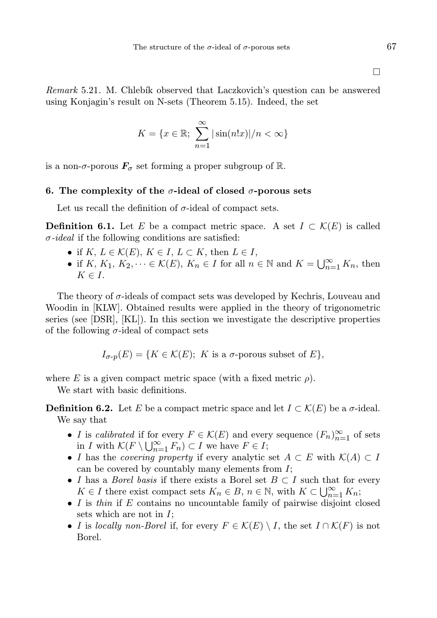Remark 5.21. M. Chlebík observed that Laczkovich's question can be answered using Konjagin's result on N-sets (Theorem 5.15). Indeed, the set

$$
K = \{x \in \mathbb{R}; \sum_{n=1}^{\infty} |\sin(n!x)|/n < \infty\}
$$

is a non- $\sigma$ -porous  $\mathbf{F}_{\sigma}$  set forming a proper subgroup of R.

#### 6. The complexity of the  $\sigma$ -ideal of closed  $\sigma$ -porous sets

Let us recall the definition of  $\sigma$ -ideal of compact sets.

**Definition 6.1.** Let E be a compact metric space. A set  $I \subset \mathcal{K}(E)$  is called  $\sigma$ -ideal if the following conditions are satisfied:

- if  $K, L \in \mathcal{K}(E), K \in I, L \subset K$ , then  $L \in I$ ,
- if K,  $K_1, K_2, \dots \in \mathcal{K}(E)$ ,  $K_n \in I$  for all  $n \in \mathbb{N}$  and  $K = \bigcup_{n=1}^{\infty} K_n$ , then  $K \in I$ .

The theory of  $\sigma$ -ideals of compact sets was developed by Kechris, Louveau and Woodin in [KLW]. Obtained results were applied in the theory of trigonometric series (see [DSR], [KL]). In this section we investigate the descriptive properties of the following  $\sigma$ -ideal of compact sets

Iσ-p(E) = {K ∈ K(E); K is a σ-porous subset of E},

where E is a given compact metric space (with a fixed metric  $\rho$ ).

We start with basic definitions.

**Definition 6.2.** Let E be a compact metric space and let  $I \subset \mathcal{K}(E)$  be a  $\sigma$ -ideal. We say that

- I is calibrated if for every  $F \in \mathcal{K}(E)$  and every sequence  $(F_n)_{n=1}^{\infty}$  of sets in I with  $\mathcal{K}(F \setminus \bigcup_{n=1}^{\infty} F_n) \subset I$  we have  $F \in I$ ;
- I has the *covering property* if every analytic set  $A \subset E$  with  $\mathcal{K}(A) \subset I$ can be covered by countably many elements from  $I$ ;
- I has a *Borel basis* if there exists a Borel set  $B \subset I$  such that for every  $K \in I$  there exist compact sets  $K_n \in B$ ,  $n \in \mathbb{N}$ , with  $K \subset \bigcup_{n=1}^{\infty} K_n$ ;
- I is thin if  $E$  contains no uncountable family of pairwise disjoint closed sets which are not in I;
- I is locally non-Borel if, for every  $F \in \mathcal{K}(E) \setminus I$ , the set  $I \cap \mathcal{K}(F)$  is not Borel.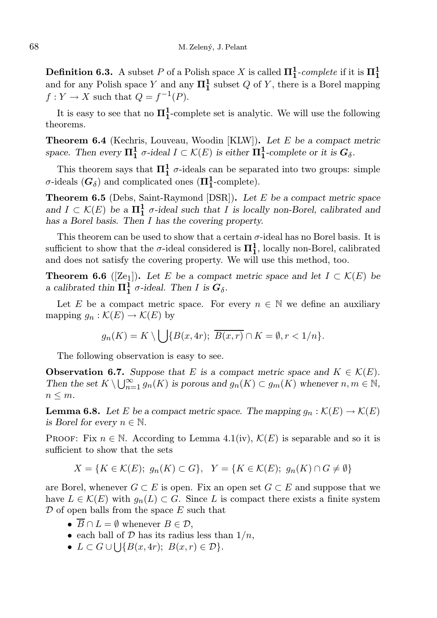**Definition 6.3.** A subset P of a Polish space X is called  $\Pi_1^1$ -complete if it is  $\Pi_1^1$ and for any Polish space Y and any  $\Pi_1^1$  subset Q of Y, there is a Borel mapping  $f: Y \to X$  such that  $Q = f^{-1}(P)$ .

It is easy to see that no  $\Pi_1^1$ -complete set is analytic. We will use the following theorems.

**Theorem 6.4** (Kechris, Louveau, Woodin [KLW]). Let  $E$  be a compact metric space. Then every  $\Pi_1^1$   $\sigma$ -ideal  $I \subset \mathcal{K}(E)$  is either  $\Pi_1^1$ -complete or it is  $G_\delta$ .

This theorem says that  $\Pi_1^1$   $\sigma$ -ideals can be separated into two groups: simple  $\sigma$ -ideals  $(G_{\delta})$  and complicated ones  $(\Pi_1^1$ -complete).

Theorem 6.5 (Debs, Saint-Raymond [DSR]). Let E be a compact metric space and  $I \subset \mathcal{K}(E)$  be a  $\Pi_1^1$   $\sigma$ -ideal such that I is locally non-Borel, calibrated and has a Borel basis. Then I has the covering property.

This theorem can be used to show that a certain  $\sigma$ -ideal has no Borel basis. It is sufficient to show that the  $\sigma$ -ideal considered is  $\Pi_1^1$ , locally non-Borel, calibrated and does not satisfy the covering property. We will use this method, too.

**Theorem 6.6** ([Ze<sub>1</sub>]). Let E be a compact metric space and let  $I \subset \mathcal{K}(E)$  be a calibrated thin  $\Pi_1^{\overline{1}^{\prime\prime}}$  *o*-ideal. Then I is  $G_\delta$ .

Let E be a compact metric space. For every  $n \in \mathbb{N}$  we define an auxiliary mapping  $g_n : \mathcal{K}(E) \to \mathcal{K}(E)$  by

$$
g_n(K) = K \setminus \bigcup \{ B(x, 4r); \overline{B(x, r)} \cap K = \emptyset, r < 1/n \}.
$$

The following observation is easy to see.

**Observation 6.7.** Suppose that E is a compact metric space and  $K \in \mathcal{K}(E)$ . Then the set  $K \setminus \bigcup_{n=1}^{\infty} g_n(K)$  is porous and  $g_n(K) \subset g_m(K)$  whenever  $n, m \in \mathbb{N}$ ,  $n \leq m$ .

**Lemma 6.8.** Let E be a compact metric space. The mapping  $g_n : \mathcal{K}(E) \to \mathcal{K}(E)$ is Borel for every  $n \in \mathbb{N}$ .

PROOF: Fix  $n \in \mathbb{N}$ . According to Lemma 4.1(iv),  $\mathcal{K}(E)$  is separable and so it is sufficient to show that the sets

$$
X = \{ K \in \mathcal{K}(E); g_n(K) \subset G \}, \quad Y = \{ K \in \mathcal{K}(E); g_n(K) \cap G \neq \emptyset \}
$$

are Borel, whenever  $G \subset E$  is open. Fix an open set  $G \subset E$  and suppose that we have  $L \in \mathcal{K}(E)$  with  $g_n(L) \subset G$ . Since L is compact there exists a finite system  $\mathcal D$  of open balls from the space E such that

- $\overline{B} \cap L = \emptyset$  whenever  $B \in \mathcal{D}$ ,
- each ball of  $D$  has its radius less than  $1/n$ ,
- $L \subset G \cup \bigcup \{B(x, 4r); B(x, r) \in \mathcal{D}\}.$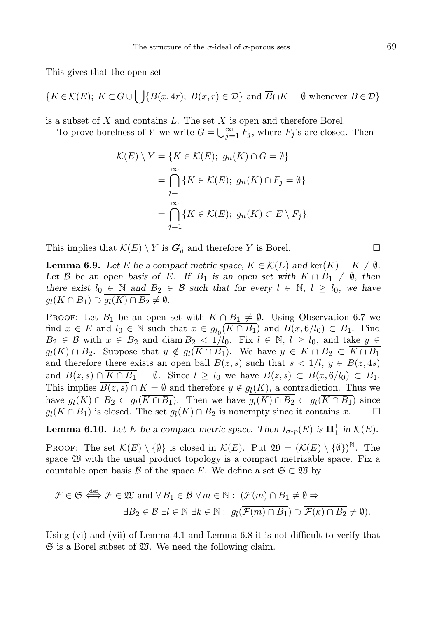This gives that the open set

$$
\{K \in \mathcal{K}(E); K \subset G \cup \bigcup \{B(x, 4r); B(x, r) \in \mathcal{D}\} \text{ and } \overline{B} \cap K = \emptyset \text{ whenever } B \in \mathcal{D}\}\
$$

is a subset of  $X$  and contains  $L$ . The set  $X$  is open and therefore Borel.

To prove borelness of Y we write  $G = \bigcup_{j=1}^{\infty} \overline{F}_j$ , where  $F_j$ 's are closed. Then

$$
\mathcal{K}(E) \setminus Y = \{ K \in \mathcal{K}(E); g_n(K) \cap G = \emptyset \}
$$
  
= 
$$
\bigcap_{j=1}^{\infty} \{ K \in \mathcal{K}(E); g_n(K) \cap F_j = \emptyset \}
$$
  
= 
$$
\bigcap_{j=1}^{\infty} \{ K \in \mathcal{K}(E); g_n(K) \subset E \setminus F_j \}.
$$

This implies that  $\mathcal{K}(E) \setminus Y$  is  $G_{\delta}$  and therefore Y is Borel.

**Lemma 6.9.** Let E be a compact metric space,  $K \in \mathcal{K}(E)$  and ker $(K) = K \neq \emptyset$ . Let B be an open basis of E. If B<sub>1</sub> is an open set with  $K \cap B_1 \neq \emptyset$ , then there exist  $l_0 \in \mathbb{N}$  and  $B_2 \in \mathcal{B}$  such that for every  $l \in \mathbb{N}$ ,  $l \geq l_0$ , we have  $g_l(K \cap B_1) \supset g_l(K) \cap B_2 \neq \emptyset.$ 

**PROOF:** Let  $B_1$  be an open set with  $K \cap B_1 \neq \emptyset$ . Using Observation 6.7 we find  $x \in E$  and  $l_0 \in \mathbb{N}$  such that  $x \in g_{l_0}(\overline{K \cap B_1})$  and  $B(x, 6/l_0) \subset B_1$ . Find  $B_2 \in \mathcal{B}$  with  $x \in B_2$  and diam  $B_2 < 1/l_0$ . Fix  $l \in \mathbb{N}$ ,  $l \geq l_0$ , and take  $y \in$  $g_l(K) \cap B_2$ . Suppose that  $y \notin g_l(K \cap B_1)$ . We have  $y \in K \cap B_2 \subset K \cap B_1$ and therefore there exists an open ball  $B(z, s)$  such that  $s < 1/l$ ,  $y \in B(z, 4s)$ and  $\overline{B(z,s)} \cap \overline{K \cap B_1} = \emptyset$ . Since  $l \geq l_0$  we have  $\overline{B(z,s)} \subset B(x,6/l_0) \subset B_1$ . This implies  $B(z, s) \cap K = \emptyset$  and therefore  $y \notin g_l(K)$ , a contradiction. Thus we have  $g_l(K) \cap B_2 \subset g_l(K \cap B_1)$ . Then we have  $g_l(K) \cap B_2 \subset g_l(K \cap B_1)$  since  $g_l(\overline{K \cap B_1})$  is closed. The set  $g_l(K) \cap B_2$  is nonempty since it contains  $x$ .

**Lemma 6.10.** Let E be a compact metric space. Then  $I_{\sigma-p}(E)$  is  $\Pi_1^1$  in  $\mathcal{K}(E)$ .

PROOF: The set  $\mathcal{K}(E) \setminus \{\emptyset\}$  is closed in  $\mathcal{K}(E)$ . Put  $\mathfrak{W} = (\mathcal{K}(E) \setminus \{\emptyset\})^{\mathbb{N}}$ . The space  $\mathfrak W$  with the usual product topology is a compact metrizable space. Fix a countable open basis B of the space E. We define a set  $\mathfrak{S} \subset \mathfrak{W}$  by

$$
\mathcal{F} \in \mathfrak{S} \stackrel{\text{def}}{\iff} \mathcal{F} \in \mathfrak{W} \text{ and } \forall B_1 \in \mathcal{B} \ \forall m \in \mathbb{N}: \ (\mathcal{F}(m) \cap B_1 \neq \emptyset \Rightarrow \exists B_2 \in \mathcal{B} \ \exists l \in \mathbb{N} \ \exists k \in \mathbb{N}: \ g_l(\overline{\mathcal{F}(m) \cap B_1}) \supset \overline{\mathcal{F}(k) \cap B_2} \neq \emptyset).
$$

Using (vi) and (vii) of Lemma 4.1 and Lemma 6.8 it is not difficult to verify that  $\mathfrak S$  is a Borel subset of  $\mathfrak W$ . We need the following claim.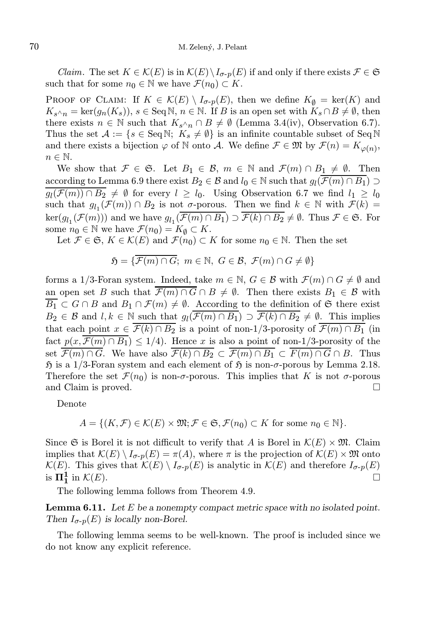*Claim.* The set  $K \in \mathcal{K}(E)$  is in  $\mathcal{K}(E) \setminus I_{\sigma-p}(E)$  if and only if there exists  $\mathcal{F} \in \mathfrak{S}$ such that for some  $n_0 \in \mathbb{N}$  we have  $\mathcal{F}(n_0) \subset K$ .

PROOF OF CLAIM: If  $K \in \mathcal{K}(E) \setminus I_{\sigma-p}(E)$ , then we define  $K_{\emptyset} = \text{ker}(K)$  and  $K_{s^{\wedge}n} = \text{ker}(g_n(K_s)), s \in \text{Seq N}, n \in \mathbb{N}$ . If B is an open set with  $K_s \cap B \neq \emptyset$ , then there exists  $n \in \mathbb{N}$  such that  $K_{s\wedge n} \cap B \neq \emptyset$  (Lemma 3.4(iv), Observation 6.7). Thus the set  $\mathcal{A} := \{s \in \text{Seq N}; K_s \neq \emptyset\}$  is an infinite countable subset of Seq N and there exists a bijection  $\varphi$  of N onto A. We define  $\mathcal{F} \in \mathfrak{M}$  by  $\mathcal{F}(n) = K_{\varphi(n)}$ ,  $n \in \mathbb{N}$ .

We show that  $\mathcal{F} \in \mathfrak{S}$ . Let  $B_1 \in \mathcal{B}$ ,  $m \in \mathbb{N}$  and  $\mathcal{F}(m) \cap B_1 \neq \emptyset$ . Then according to Lemma 6.9 there exist  $B_2 \in \mathcal{B}$  and  $l_0 \in \mathbb{N}$  such that  $g_l(\mathcal{F}(m) \cap B_1) \supset$  $g_l(\mathcal{F}(m)) \cap B_2 \neq \emptyset$  for every  $l \geq l_0$ . Using Observation 6.7 we find  $l_1 \geq l_0$ such that  $g_{l_1}(\mathcal{F}(m)) \cap B_2$  is not  $\sigma$ -porous. Then we find  $k \in \mathbb{N}$  with  $\mathcal{F}(k) =$  $\ker(g_{l_1}(\mathcal{F}(m)))$  and we have  $g_{l_1}(\overline{\mathcal{F}(m) \cap B_1}) \supset \overline{\mathcal{F}(k) \cap B_2} \neq \emptyset$ . Thus  $\mathcal{F} \in \mathfrak{S}$ . For some  $n_0 \in \mathbb{N}$  we have  $\mathcal{F}(n_0) = K_\emptyset \subset K$ .

Let  $\mathcal{F} \in \mathfrak{S}, K \in \mathcal{K}(E)$  and  $\mathcal{F}(n_0) \subset K$  for some  $n_0 \in \mathbb{N}$ . Then the set

$$
\mathfrak{H} = \{ \overline{\mathcal{F}(m) \cap G}; \ m \in \mathbb{N}, \ G \in \mathcal{B}, \ \mathcal{F}(m) \cap G \neq \emptyset \}
$$

forms a 1/3-Foran system. Indeed, take  $m \in \mathbb{N}$ ,  $G \in \mathcal{B}$  with  $\mathcal{F}(m) \cap G \neq \emptyset$  and an open set B such that  $\mathcal{F}(m) \cap G \cap B \neq \emptyset$ . Then there exists  $B_1 \in \mathcal{B}$  with  $\overline{B_1} \subset G \cap B$  and  $B_1 \cap \mathcal{F}(m) \neq \emptyset$ . According to the definition of G there exist  $B_2 \in \mathcal{B}$  and  $l, k \in \mathbb{N}$  such that  $g_l(\mathcal{F}(m) \cap B_1) \supset \mathcal{F}(k) \cap B_2 \neq \emptyset$ . This implies that each point  $x \in \overline{\mathcal{F}(k) \cap B_2}$  is a point of non-1/3-porosity of  $\overline{\mathcal{F}(m) \cap B_1}$  (in fact  $p(x, \overline{\mathcal{F}(m) \cap B_1}) \leq 1/4$ ). Hence x is also a point of non-1/3-porosity of the set  $\overline{\mathcal{F}(m) \cap G}$ . We have also  $\overline{\mathcal{F}(k) \cap B_2} \subset \overline{\mathcal{F}(m) \cap B_1} \subset \overline{F(m) \cap G} \cap B$ . Thus  $\mathfrak H$  is a 1/3-Foran system and each element of  $\mathfrak H$  is non- $\sigma$ -porous by Lemma 2.18. Therefore the set  $\mathcal{F}(n_0)$  is non- $\sigma$ -porous. This implies that K is not  $\sigma$ -porous and Claim is proved.

Denote

$$
A = \{ (K, \mathcal{F}) \in \mathcal{K}(E) \times \mathfrak{M}; \mathcal{F} \in \mathfrak{S}, \mathcal{F}(n_0) \subset K \text{ for some } n_0 \in \mathbb{N} \}.
$$

Since G is Borel it is not difficult to verify that A is Borel in  $\mathcal{K}(E) \times \mathfrak{M}$ . Claim implies that  $\mathcal{K}(E) \setminus I_{\sigma \cdot p}(E) = \pi(A)$ , where  $\pi$  is the projection of  $\mathcal{K}(E) \times \mathfrak{M}$  onto  $\mathcal{K}(E)$ . This gives that  $\mathcal{K}(E) \setminus I_{\sigma-p}(E)$  is analytic in  $\mathcal{K}(E)$  and therefore  $I_{\sigma-p}(E)$  $\overline{\text{is}}\ \overline{\text{11}}_{1}^{1}$ in  $\mathcal{K}(E)$ .

The following lemma follows from Theorem 4.9.

**Lemma 6.11.** Let  $E$  be a nonempty compact metric space with no isolated point. Then  $I_{\sigma-p}(E)$  is locally non-Borel.

The following lemma seems to be well-known. The proof is included since we do not know any explicit reference.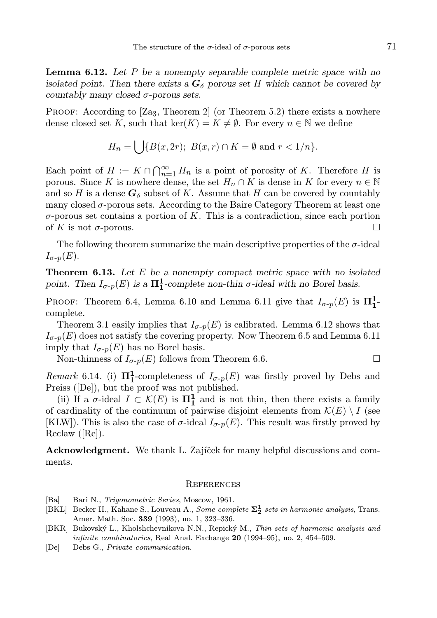**Lemma 6.12.** Let  $P$  be a nonempty separable complete metric space with no isolated point. Then there exists a  $G_{\delta}$  porous set H which cannot be covered by countably many closed  $\sigma$ -porous sets.

**PROOF:** According to  $[\text{Za}_3, \text{Theorem 2}]$  (or Theorem 5.2) there exists a nowhere dense closed set K, such that ker(K) =  $K \neq \emptyset$ . For every  $n \in \mathbb{N}$  we define

$$
H_n = \bigcup \{ B(x, 2r); \ B(x, r) \cap K = \emptyset \text{ and } r < 1/n \}.
$$

Each point of  $H := K \cap \bigcap_{n=1}^{\infty} H_n$  is a point of porosity of K. Therefore H is porous. Since K is nowhere dense, the set  $H_n \cap K$  is dense in K for every  $n \in \mathbb{N}$ and so H is a dense  $G_{\delta}$  subset of K. Assume that H can be covered by countably many closed  $\sigma$ -porous sets. According to the Baire Category Theorem at least one  $\sigma$ -porous set contains a portion of K. This is a contradiction, since each portion of K is not  $\sigma$ -porous.

The following theorem summarize the main descriptive properties of the  $\sigma$ -ideal  $I_{\sigma-p}(E)$ .

**Theorem 6.13.** Let  $E$  be a nonempty compact metric space with no isolated point. Then  $I_{\sigma-p}(E)$  is a  $\Pi_1^1$ -complete non-thin  $\sigma$ -ideal with no Borel basis.

PROOF: Theorem 6.4, Lemma 6.10 and Lemma 6.11 give that  $I_{\sigma-p}(E)$  is  $\Pi_1^1$ complete.

Theorem 3.1 easily implies that  $I_{\sigma}(\mathcal{F})$  is calibrated. Lemma 6.12 shows that  $I_{\sigma-p}(E)$  does not satisfy the covering property. Now Theorem 6.5 and Lemma 6.11 imply that  $I_{\sigma-p}(E)$  has no Borel basis.

Non-thinness of  $I_{\sigma-p}(E)$  follows from Theorem 6.6.

Remark 6.14. (i)  $\Pi_1^1$ -completeness of  $I_{\sigma-p}(E)$  was firstly proved by Debs and Preiss ([De]), but the proof was not published.

(ii) If a  $\sigma$ -ideal  $I \subset \mathcal{K}(E)$  is  $\Pi_1^{\mathbf{1}}$  and is not thin, then there exists a family of cardinality of the continuum of pairwise disjoint elements from  $\mathcal{K}(E) \setminus I$  (see [KLW]). This is also the case of  $\sigma$ -ideal  $I_{\sigma-p}(E)$ . This result was firstly proved by Reclaw ([Re]).

Acknowledgment. We thank L. Zajíček for many helpful discussions and comments.

#### **REFERENCES**

- [Ba] Bari N., Trigonometric Series, Moscow, 1961.
- [BKL] Becker H., Kahane S., Louveau A., Some complete  $\Sigma_2^1$  sets in harmonic analysis, Trans. Amer. Math. Soc. 339 (1993), no. 1, 323–336.
- [BKR] Bukovský L., Kholshchevnikova N.N., Repický M., Thin sets of harmonic analysis and infinite combinatorics, Real Anal. Exchange 20 (1994–95), no. 2, 454–509.
- [De] Debs G., Private communication.